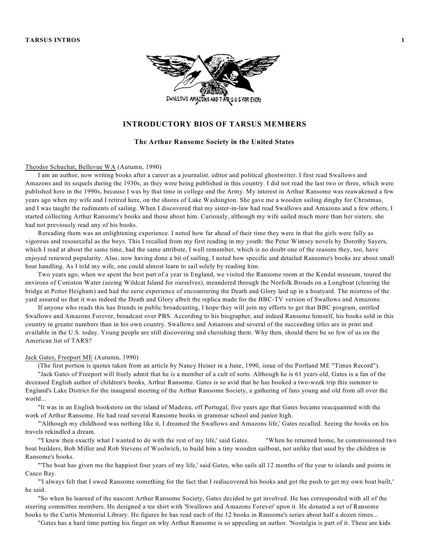

# **INTRODUCTORY BIOS OF TARSUS MEMBERS**

# **The Arthur Ransome Society in the United States**

# Theodor Schuchat, Bellevue WA (Autumn, 1990)

I am an author, now writing books after a career as a journalist. editor and political ghostwriter. I first read Swallows and Amazons and its sequels during the 1930s, as they were being published in this country. I did not read the last two or three, which were published here in the 1990s, because I was by that time in college and the Army. My interest in Arthur Ransome was reawakened a few years ago when my wife and I retired here, on the shores of Lake Washington. She gave me a wooden sailing dinghy for Christmas, and I was taught the rudiments of sailing. When I discovered that my sister-in-law had read Swallows and Amazons and a few others, I started collecting Arthur Ransome's books and those about him. Curiously, although my wife sailed much more than her sisters. she had not previously read any of his books.

Rereading them was an enlightening experience. I noted how far ahead of their time they were in that the girls were fully as vigorous and resourceful as the boys. This I recalled from my first reading in my youth: the Peter Wimsey novels by Dorothy Sayers, which I read at about the same time, had the same attribute, I well remember, which is no doubt one of the reasons they, too, have enjoyed renewed popularity. Also, now having done a bit of sailing, I noted how specific and detailed Ransome's books are about small boat handling. As I told my wife, one could almost learn to sail solely by reading him.

Two years ago, when we spent the best part of a year in England, we visited the Ransome room at the Kendal museum, toured the environs of Coniston Water (seeing Wildcat Island for ourselves), meandered through the Norfolk Broads on a Longboat (clearing the bridge at Potter Heigham) and had the eerie experience of encountering the Death and Glory laid up in a boatyard. The mistress of the yard assured us that it was indeed the Death and Glory albeit the replica made for the BBC-TV version of Swallows and Amazons.

If anyone who reads this has friends in public broadcasting, I hope they will join my efforts to get that BBC program, entitled Swallows and Amazons Forever, broadcast over PBS. According to his biographer, and indeed Ransome himself, his books sold in this country in greater numbers than in his own country. Swallows and Amazons and several of the succeeding titles are in print and available in the U.S. today. Young people are still discovering and cherishing them. Why then, should there be so few of us on the American list of TARS?

### Jack Gates, Freeport ME (Autumn, 1990)

(The first portion is quotes taken from an article by Nancy Heiser in a June, 1990, issue of the Portland ME "Times Record").

"Jack Gates of Freeport will freely admit that he is a member of a cult of sorts. Although he is 61 years old, Gates is a fan of the deceased English author of children's books, Arthur Ransome. Gates is so avid that he has booked a two-week trip this summer to England's Lake District for the inaugural meeting of the Arthur Ransome Society, a gathering of fans young and old from all over the world...

"It was in an English bookstore on the island of Madeira, off Portugal, five years ago that Gates became reacquainted with the work of Arthur Ransome. He had read several Ransome books in grammar school and junior high.

"'Although my childhood was nothing like it, I dreamed the Swallows and Amazons life,' Gates recalled. Seeing the books on his travels rekindled a dream.

"'I knew then exactly what I wanted to do with the rest of my life,' said Gates. "When he returned home, he commissioned two boat builders, Bob Miller and Rob Stevens of Woolwich, to build him a tiny wooden sailboat, not unlike that used by the children in Ransome's books.

"'The boat has given me the happiest four years of my life,' said Gates, who sails all 12 months of the year to islands and points in Casco Bay.

"'I always felt that I owed Ransome something for the fact that I rediscovered his books and got the push to get my own boat built,' he said.

"So when he learned of the nascent Arthur Ransome Society, Gates decided to get involved. He has corresponded with all of the steering committee members. He designed a tee shirt with 'Swallows and Amazons Forever' upon it. He donated a set of Ransome books to the Curtis Memorial Library. He figures he has read each of the 12 books in Ransome's series about half a dozen times...

"Gates has a hard time putting his finger on why Arthur Ransome is so appealing an author. 'Nostalgia is part of it. These are kids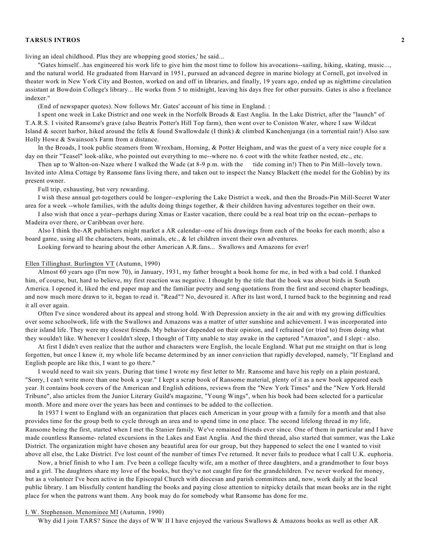living an ideal childhood. Plus they are whopping good stories,' he said...

"Gates himself...has engineered his work life to give him the most time to follow his avocations--sailing, hiking, skating, music..., and the natural world. He graduated from Harvard in 1951, pursued an advanced degree in marine biology at Cornell, got involved in theater work in New York City and Boston, worked on and off in libraries, and finally, 19 years ago, ended up as nighttime circulation assistant at Bowdoin College's library... He works from 5 to midnight, leaving his days free for other pursuits. Gates is also a freelance indexer."

(End of newspaper quotes). Now follows Mr. Gates' account of his time in England. :

I spent one week in Lake District and one week in the Norfolk Broads & East Anglia. In the Lake District, after the "launch" of T.A.R.S. I visited Ransome's grave (also Beatrix Potter's Hill Top farm), then went over to Coniston Water, where I saw Wildcat Island & secret harbor, hiked around the fells & found Swallowdale (I think) & climbed Kanchenjunga (in a torrential rain!) Also saw Holly Howe & Swainson's Farm from a distance.

In the Broads, I took public steamers from Wroxham, Horning, & Potter Heigham, and was the guest of a very nice couple for a day on their "Teasel" look-alike, who pointed out everything to me--where no. 6 coot with the white feather nested, etc., etc.

Then up to Walton-on-Naze where I walked the Wade (at 8-9 p.m. with the tide coming in!) Then to Pin Mill--lovely town. Invited into Alma Cottage by Ransome fans living there, and taken out to inspect the Nancy Blackett (the model for the Goblin) by its present owner.

Full trip, exhausting, but very rewarding.

I wish these annual get-togethers could be longer--exploring the Lake District a week, and then the Broads-Pin Mill-Secret Water area for a week --whole families, with the adults doing things together, & their children having adventures together on their own.

I also wish that once a year--perhaps during Xmas or Easter vacation, there could be a real boat trip on the ocean--perhaps to Madeira over there, or Caribbean over here.

Also I think the-AR publishers might market a AR calendar--one of his drawings from each of the books for each month; also a board game, using all the characters, boats, animals, etc., & let children invent their own adventures.

Looking forward to hearing about the other American A.R.fans... Swallows and Amazons for ever!

#### Ellen Tillinghast. Burlington VT (Autumn, 1990)

Almost 60 years ago (I'm now 70), in January, 1931, my father brought a book home for me, in bed with a bad cold. I thanked him, of course, but, hard to believe, my first reaction was negative. I thought by the title that the book was about birds in South America. I opened it, liked the end paper map and the familiar poetry and song quotations from the first and second chapter headings, and now much more drawn to it, began to read it. "Read"? No, devoured it. After its last word, I turned back to the beginning and read it all over again.

Often I've since wondered about its appeal and strong hold. With Depression anxiety in the air and with my growing difficulties over some schoolwork, life with the Swallows and Amazons was a matter of utter sunshine and achievement. I was incorporated into their island life. They were my closest friends. My behavior depended on their opinion, and I refrained (or tried to) from doing what they wouldn't like. Whenever I couldn't sleep, I thought of Titty unable to stay awake in the captured "Amazon", and I slept - also.

At first I didn't even realize that the author and characters were English, the locale England. What put me straight on that is long forgotten, but once I knew it, my whole life became determined by an inner conviction that rapidly developed, namely, "If England and English people are like this, I want to go there."

I would need to wait six years. During that time I wrote my first letter to Mr. Ransome and have his reply on a plain postcard, "Sorry, I can't write more than one book a year." I kept a scrap book of Ransome material, plenty of it as a new book appeared each year. It contains book covers of the American and English editions, reviews from the "New York Times" and the "New York Herald Tribune", also articles from the Junior Literary Guild's magazine, "Young Wings", when his book had been selected for a particular month. More and more over the years has been and continues to be added to the collection.

In 1937 I went to England with an organization that places each American in your group with a family for a month and that also provides time for the group both to cycle through an area and to spend time in one place. The second lifelong thread in my life, Ransome being the first, started when I met the Stanier family. We've remained friends ever since. One of them in particular and I have made countless Ransome- related excursions in the Lakes and East Anglia. And the third thread, also started that summer, was the Lake District. The organization might have chosen any beautiful area for our group, but they happened to select the one I wanted to visit above all else, the Lake District. I've lost count of the number of times I've returned. It never fails to produce what I call U.K. euphoria.

Now, a brief finish to who I am. I've been a college faculty wife, am a mother of three daughters, and a grandmother to four boys and a girl. The daughters share my love of the books, but they've not caught fire for the grandchildren. I've never worked for money, but as a volunteer I've been active in the Episcopal Church with diocesan and parish committees and, now, work daily at the local public library. I am blissfully content handling the books and paying close attention to nitpicky details that mean books are in the right place for when the patrons want them. Any book may do for somebody what Ransome has done for me.

### I. W. Stephenson. Menominee MI (Autumn, 1990)

Why did I join TARS? Since the days of WW II I have enjoyed the various Swallows & Amazons books as well as other AR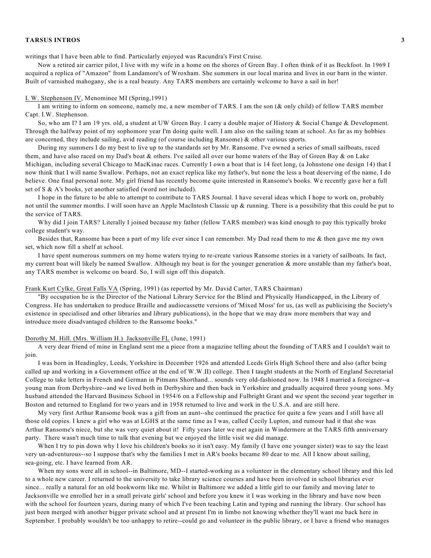writings that I have been able to find. Particularly enjoyed was Racundra's First Cruise.

Now a retired air carrier pilot, I live with my wife in a home on the shores of Green Bay. I often think of it as Beckfoot. In 1969 I acquired a replica of "Amazon" from Landamore's of Wroxham. She summers in our local marina and lives in our barn in the winter. Built of varnished mahogany, she is a real beauty. Any TARS members are certainly welcome to have a sail in her!

#### I. W. Stephenson IV, Menominee MI (Spring,1991)

I am writing to inform on someone, namely me, a new member of TARS. I am the son (& only child) of fellow TARS member Capt. I.W. Stephenson.

So, who am I? I am 19 yrs. old, a student at UW Green Bay. I carry a double major of History & Social Change & Development. Through the halfway point of my sophomore year I'm doing quite well. I am also on the sailing team at school. As far as my hobbies are concerned, they include sailing, avid reading (of course including Ransome) & other various sports.

During my summers I do my best to live up to the standards set by Mr. Ransome. I've owned a series of small sailboats, raced them, and have also raced on my Dad's boat & others. I've sailed all over our home waters of the Bay of Green Bay & on Lake Michigan, including several Chicago to MacKinac races. Currently I own a boat that is 14 feet long, (a Johnstone one design 14) that I now think that I will name Swallow. Perhaps, not an exact replica like my father's, but none the less a boat deserving of the name, I do believe. One final personal note. My girl friend has recently become quite interested in Ransome's books. We recently gave her a full set of S & A's books, yet another satisfied (word not included).

I hope in the future to be able to attempt to contribute to TARS Journal. I have several ideas which I hope to work on, probably not until the summer months. I will soon have an Apple MacIntosh Classic up & running. There is a possibility that this could be put to the service of TARS.

Why did I join TARS? Literally I joined because my father (fellow TARS member) was kind enough to pay this typically broke college student's way.

Besides that, Ransome has been a part of my life ever since I can remember. My Dad read them to me & then gave me my own set, which now fill a shelf at school.

I have spent numerous summers on my home waters trying to re-create various Ransome stories in a variety of sailboats. In fact, my current boat will likely be named Swallow. Although my boat is for the younger generation & more unstable than my father's boat, any TARS member is welcome on board. So, I will sign off this dispatch.

### Frank Kurt Cylke, Great Falls VA (Spring, 1991) (as reported by Mr. David Carter, TARS Chairman)

"By occupation he is the Director of the National Library Service for the Blind and Physically Handicapped, in the Library of Congress. He has undertaken to produce Braille and audiocassette versions of 'Mixed Moss' for us, (as well as publicising the Society's existence in specialised and other libraries and library publications), in the hope that we may draw more members that way and introduce more disadvantaged children to the Ransome books."

#### Dorothy M. Hill. (Mrs. William H.) Jacksonville FL (June, 1991)

A very dear friend of mine in England sent me a piece from a magazine telling about the founding of TARS and I couldn't wait to join.

I was born in Headingley, Leeds, Yorkshire in December 1926 and attended Leeds Girls High School there and also (after being called up and working in a Government office at the end of W.W.II) college. Then I taught students at the North of England Secretarial College to take letters in French and German in Pitmans Shorthand... sounds very old-fashioned now. In 1948 I married a foreigner--a young man from Derbyshire--and we lived both in Derbyshire and then back in Yorkshire and gradually acquired three young sons. My husband attended the Harvard Business School in 1954/6 on a Fellowship and Fulbright Grant and we spent the second year together in Boston and returned to England for two years and in 1958 returned to live and work in the U.S.A. and are still here.

My very first Arthur Ransome book was a gift from an aunt--she continued the practice for quite a few years and I still have all those old copies. I knew a girl who was at LGHS at the same time as I was, called Cecily Lupton, and rumour had it that she was Arthur Ransome's niece, but she was very quiet about it! Fifty years later we met again in Windermere at the TARS fifth anniversary party. There wasn't much time to talk that evening but we enjoyed the little visit we did manage.

When I try to pin down why I love his children's books so it isn't easy. My family (I have one younger sister) was to say the least very un-adventurous--so I suppose that's why the families I met in AR's books became 80 dear to me. All I know about sailing, sea-going, etc. I have learned from AR.

When my sons were all in school--in Baltimore, MD--I started-working as a volunteer in the elementary school library and this led to a whole new career. I returned to the university to take library science courses and have been involved in school libraries ever since... really a natural for an old bookworm like me. Whilst in Baltimore we added a little girl to our family and moving later to Jacksonville we enrolled her in a small private girls' school and before you knew it I was working in the library and have now been with the school for fourteen years, during many of which I've been teaching Latin and typing and running the library. Our school has just been merged with another bigger private school and at present I'm in limbo not knowing whether they'll want me back here in September. I probably wouldn't be too unhappy to retire--could go and volunteer in the public library, or I have a friend who manages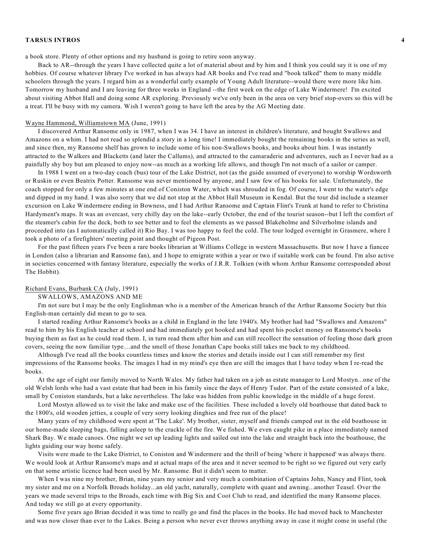a book store. Plenty of other options and my husband is going to retire soon anyway.

Back to AR--through the years I have collected quite a lot of material about and by him and I think you could say it is one of my hobbies. Of course whatever library I've worked in has always had AR books and I've read and "book talked" them to many middle schoolers through the years. I regard him as a wonderful early example of Young Adult literature--would there were more like him. Tomorrow my husband and I are leaving for three weeks in England --the first week on the edge of Lake Windermere! I'm excited about visiting Abbot Hall and doing some AR exploring. Previously we've only been in the area on very brief stop-overs so this will be a treat. I'll be busy with my camera. Wish I weren't going to have left the area by the AG Meeting date.

### Wayne Hammond, Williamstown MA (June, 1991)

I discovered Arthur Ransome only in 1987, when I was 34. I have an interest in children's literature, and bought Swallows and Amazons on a whim. I had not read so splendid a story in a long time! I immediately bought the remaining books in the series as well, and since then, my Ransome shelf has grown to include some of his non-Swallows books, and books about him. I was instantly attracted to the Walkers and Blacketts (and later the Callums), and attracted to the camaraderie and adventures, such as I never had as a painfully shy boy but am pleased to enjoy now--as much as a working life allows, and though I'm not much of a sailor or camper.

In 1988 I went on a two-day coach (bus) tour of the Lake District, not (as the guide assumed of everyone) to worship Wordsworth or Ruskin or even Beatrix Potter. Ransome was never mentioned by anyone, and I saw few of his books for sale. Unfortunately, the coach stopped for only a few minutes at one end of Coniston Water, which was shrouded in fog. Of course, I went to the water's edge and dipped in my hand. I was also sorry that we did not stop at the Abbot Hall Museum in Kendal. But the tour did include a steamer excursion on Lake Windermere ending in Bowness, and I had Arthur Ransome and Captain Flint's Trunk at hand to refer to Christina Hardyment's maps. It was an overcast, very chilly day on the lake--early October, the end of the tourist season--but I left the comfort of the steamer's cabin for the deck, both to see better and to feel the elements as we passed Blakeholme and Silverholme islands and proceeded into (as I automatically called it) Rio Bay. I was too happy to feel the cold. The tour lodged overnight in Grasmere, where I took a photo of a firefighters' meeting point and thought of Pigeon Post.

For the past fifteen years I've been a rare books librarian at Williams College in western Massachusetts. But now I have a fiancee in London (also a librarian and Ransome fan), and I hope to emigrate within a year or two if suitable work can be found. I'm also active in societies concerned with fantasy literature, especially the works of J.R.R. Tolkien (with whom Arthur Ransome corresponded about The Hobbit).

### Richard Evans, Burbank CA (July, 1991)

#### SWALLOWS, AMAZONS AND ME

I'm not sure but I may be the only Englishman who is a member of the American branch of the Arthur Ransome Society but this English-man certainly did mean to go to sea.

I started reading Arthur Ransome's books as a child in England in the late 1940's. My brother had had "Swallows and Amazons" read to him by his English teacher at school and had immediately got hooked and had spent his pocket money on Ransome's books buying them as fast as he could read them. I, in turn read them after him and can still recollect the sensation of feeling those dark green covers, seeing the now familiar type....and the smell of those Jonathan Cape books still takes me back to my childhood.

Although I've read all the books countless times and know the stories and details inside out I can still remember my first impressions of the Ransome books. The images I had in my mind's eye then are still the images that I have today when I re-read the books.

At the age of eight our family moved to North Wales. My father had taken on a job as estate manager to Lord Mostyn...one of the old Welsh lords who had a vast estate that had been in his family since the days of Henry Tudor. Part of the estate consisted of a lake, small by Coniston standards, but a lake nevertheless. The lake was hidden from public knowledge in the middle of a huge forest.

Lord Mostyn allowed us to visit the lake and make use of the facilities. These included a lovely old boathouse that dated back to the 1800's, old wooden jetties, a couple of very sorry looking dinghies and free run of the place!

Many years of my childhood were spent at 'The Lake'. My brother, sister, myself and friends camped out in the old boathouse in our home-made sleeping bags, falling asleep to the crackle of the fire. We fished. We even caught pike in a place immediately named Shark Bay. We made canoes. One night we set up leading lights and sailed out into the lake and straight back into the boathouse, the lights guiding our way home safely.

Visits were made to the Lake District, to Coniston and Windermere and the thrill of being 'where it happened' was always there. We would look at Arthur Ransome's maps and at actual maps of the area and it never seemed to be right so we figured out very early on that some artistic licence had been used by Mr. Ransome. But it didn't seem to matter.

When I was nine my brother, Brian, nine years my senior and very much a combination of Captains John, Nancy and Flint, took my sister and me on a Norfolk Broads holiday...an old yacht, naturally, complete with quant and awning...another Teasel. Over the years we made several trips to the Broads, each time with Big Six and Coot Club to read, and identified the many Ransome places. And today we still go at every opportunity.

Some five years ago Brian decided it was time to really go and find the places in the books. He had moved back to Manchester and was now closer than ever to the Lakes. Being a person who never ever throws anything away in case it might come in useful (the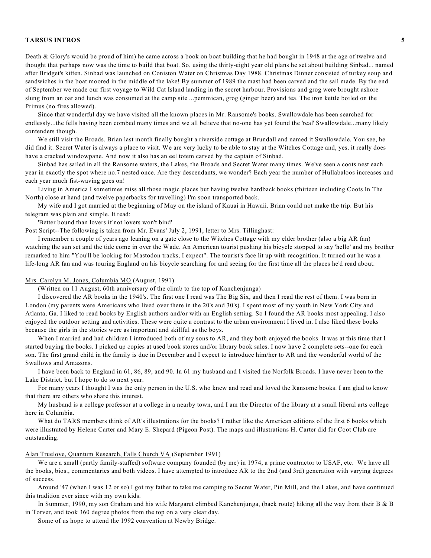Death & Glory's would be proud of him) he came across a book on boat building that he had bought in 1948 at the age of twelve and thought that perhaps now was the time to build that boat. So, using the thirty-eight year old plans he set about building Sinbad... named after Bridget's kitten. Sinbad was launched on Coniston Water on Christmas Day 1988. Christmas Dinner consisted of turkey soup and sandwiches in the boat moored in the middle of the lake! By summer of 1989 the mast had been carved and the sail made. By the end of September we made our first voyage to Wild Cat Island landing in the secret harbour. Provisions and grog were brought ashore slung from an oar and lunch was consumed at the camp site ...pemmican, grog (ginger beer) and tea. The iron kettle boiled on the Primus (no fires allowed).

Since that wonderful day we have visited all the known places in Mr. Ransome's books. Swallowdale has been searched for endlessly...the fells having been combed many times and we all believe that no-one has yet found the 'real' Swallowdale...many likely contenders though.

We still visit the Broads. Brian last month finally bought a riverside cottage at Brundall and named it Swallowdale. You see, he did find it. Secret Water is always a place to visit. We are very lucky to be able to stay at the Witches Cottage and, yes, it really does have a cracked windowpane. And now it also has an eel totem carved by the captain of Sinbad.

Sinbad has sailed in all the Ransome waters, the Lakes, the Broads and Secret Water many times. We've seen a coots nest each year in exactly the spot where no.7 nested once. Are they descendants, we wonder? Each year the number of Hullabaloos increases and each year much fist-waving goes on!

Living in America I sometimes miss all those magic places but having twelve hardback books (thirteen including Coots In The North) close at hand (and twelve paperbacks for travelling) I'm soon transported back.

My wife and I got married at the beginning of May on the island of Kauai in Hawaii. Brian could not make the trip. But his telegram was plain and simple. It read:

'Better bound than lovers if not lovers won't bind'

Post Script--The following is taken from Mr. Evans' July 2, 1991, letter to Mrs. Tillinghast:

I remember a couple of years ago leaning on a gate close to the Witches Cottage with my elder brother (also a big AR fan) watching the sun set and the tide come in over the Wade. An American tourist pushing his bicycle stopped to say 'hello' and my brother remarked to him "You'll be looking for Mastodon tracks, I expect". The tourist's face lit up with recognition. It turned out he was a life-long AR fan and was touring England on his bicycle searching for and seeing for the first time all the places he'd read about.

### Mrs. Carolyn M. Jones, Columbia MO (August, 1991)

(Written on 11 August, 60th anniversary of the climb to the top of Kanchenjunga)

I discovered the AR books in the 1940's. The first one I read was The Big Six, and then I read the rest of them. I was born in London (my parents were Americans who lived over there in the 20's and 30's). I spent most of my youth in New York City and Atlanta, Ga. I liked to read books by English authors and/or with an English setting. So I found the AR books most appealing. I also enjoyed the outdoor setting and activities. These were quite a contrast to the urban environment I lived in. I also liked these books because the girls in the stories were as important and skillful as the boys.

When I married and had children I introduced both of my sons to AR, and they both enjoyed the books. It was at this time that I started buying the books. I picked up copies at used book stores and/or library book sales. I now have 2 complete sets--one for each son. The first grand child in the family is due in December and I expect to introduce him/her to AR and the wonderful world of the Swallows and Amazons.

I have been back to England in 61, 86, 89, and 90. In 61 my husband and I visited the Norfolk Broads. I have never been to the Lake District. but I hope to do so next year.

For many years I thought I was the only person in the U.S. who knew and read and loved the Ransome books. I am glad to know that there are others who share this interest.

My husband is a college professor at a college in a nearby town, and I am the Director of the library at a small liberal arts college here in Columbia.

What do TARS members think of AR's illustrations for the books? I rather like the American editions of the first 6 books which were illustrated by Helene Carter and Mary E. Shepard (Pigeon Post). The maps and illustrations H. Carter did for Coot Club are outstanding.

# Alan Truelove, Quantum Research, Falls Church VA (September 1991)

We are a small (partly family-staffed) software company founded (by me) in 1974, a prime contractor to USAF, etc. We have all the books, bios., commentaries and both videos. I have attempted to introduce AR to the 2nd (and 3rd) generation with varying degrees of success.

Around '47 (when I was 12 or so) I got my father to take me camping to Secret Water, Pin Mill, and the Lakes, and have continued this tradition ever since with my own kids.

In Summer, 1990, my son Graham and his wife Margaret climbed Kanchenjunga, (back route) hiking all the way from their B & B in Torver, and took 360 degree photos from the top on a very clear day.

Some of us hope to attend the 1992 convention at Newby Bridge.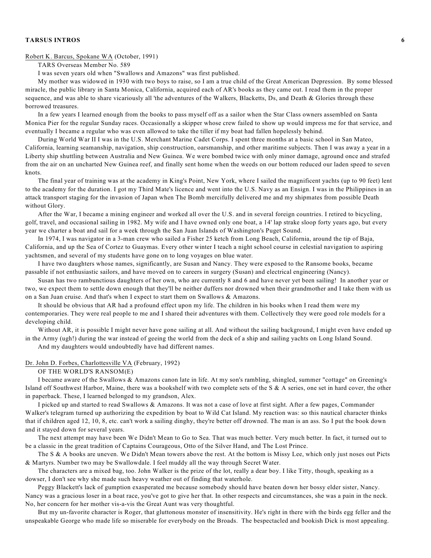# Robert K. Barcus, Spokane WA (October, 1991)

TARS Overseas Member No. 589

I was seven years old when "Swallows and Amazons" was first published.

My mother was widowed in 1930 with two boys to raise, so I am a true child of the Great American Depression. By some blessed miracle, the public library in Santa Monica, California, acquired each of AR's books as they came out. I read them in the proper sequence, and was able to share vicariously all 'the adventures of the Walkers, Blacketts, Ds, and Death & Glories through these borrowed treasures.

In a few years I learned enough from the books to pass myself off as a sailor when the Star Class owners assembled on Santa Monica Pier for the regular Sunday races. Occasionally a skipper whose crew failed to show up would impress me for that service, and eventually I became a regular who was even allowed to take the tiller if my boat had fallen hopelessly behind.

During World War II I was in the U.S. Merchant Marine Cadet Corps. I spent three months at a basic school in San Mateo, California, learning seamanship, navigation, ship construction, oarsmanship, and other maritime subjects. Then I was away a year in a Liberty ship shuttling between Australia and New Guinea. We were bombed twice with only minor damage, aground once and strafed from the air on an uncharted New Guinea reef, and finally sent home when the weeds on our bottom reduced our laden speed to seven knots.

The final year of training was at the academy in King's Point, New York, where I sailed the magnificent yachts (up to 90 feet) lent to the academy for the duration. I got my Third Mate's licence and went into the U.S. Navy as an Ensign. I was in the Philippines in an attack transport staging for the invasion of Japan when The Bomb mercifully delivered me and my shipmates from possible Death without Glory.

After the War, I became a mining engineer and worked all over the U.S. and in several foreign countries. I retired to bicycling, golf, travel, and occasional sailing in 1982. My wife and I have owned only one boat, a 14' lap strake sloop forty years ago, but every year we charter a boat and sail for a week through the San Juan Islands of Washington's Puget Sound.

In 1974, I was navigator in a 3-man crew who sailed a Fisher 25 ketch from Long Beach, California, around the tip of Baja, California, and up the Sea of Cortez to Guaymas. Every other winter I teach a night school course in celestial navigation to aspiring yachtsmen, and several of my students have gone on to long voyages on blue water.

I have two daughters whose names, significantly, are Susan and Nancy. They were exposed to the Ransome books, became passable if not enthusiastic sailors, and have moved on to careers in surgery (Susan) and electrical engineering (Nancy).

Susan has two rambunctious daughters of her own, who are currently 8 and 6 and have never yet been sailing! In another year or two, we expect them to settle down enough that they'll be neither duffers nor drowned when their grandmother and I take them with us on a San Juan cruise. And that's when I expect to start them on Swallows & Amazons.

It should be obvious that AR had a profound effect upon my life. The children in his books when I read them were my contemporaries. They were real people to me and I shared their adventures with them. Collectively they were good role models for a developing child.

Without AR, it is possible I might never have gone sailing at all. And without the sailing background, I might even have ended up in the Army (ugh!) during the war instead of geeing the world from the deck of a ship and sailing yachts on Long Island Sound.

And my daughters would undoubtedly have had different names.

# Dr. John D. Forbes, Charlottesville VA (February, 1992)

# OF THE WORLD'S RANSOM(E)

I became aware of the Swallows & Amazons canon late in life. At my son's rambling, shingled, summer "cottage" on Greening's Island off Southwest Harbor, Maine, there was a bookshelf with two complete sets of the S & A series, one set in hard cover, the other in paperback. These, I learned belonged to my grandson, Alex.

I picked up and started to read Swallows & Amazons. It was not a case of love at first sight. After a few pages, Commander Walker's telegram turned up authorizing the expedition by boat to Wild Cat Island. My reaction was: so this nautical character thinks that if children aged 12, 10, 8, etc. can't work a sailing dinghy, they're better off drowned. The man is an ass. So I put the book down and it stayed down for several years.

The next attempt may have been We Didn't Mean to Go to Sea. That was much better. Very much better. In fact, it turned out to be a classic in the great tradition of Captains Courageous, Otto of the Silver Hand, and The Lost Prince.

The S & A books are uneven. We Didn't Mean towers above the rest. At the bottom is Missy Lee, which only just noses out Picts & Martyrs. Number two may be Swallowdale. I feel muddy all the way through Secret Water.

The characters are a mixed bag, too. John Walker is the prize of the lot, really a dear boy. I like Titty, though, speaking as a dowser, I don't see why she made such heavy weather out of finding that waterhole.

Peggy Blackett's lack of gumption exasperated me because somebody should have beaten down her bossy elder sister, Nancy. Nancy was a gracious loser in a boat race, you've got to give her that. In other respects and circumstances, she was a pain in the neck. No, her concern for her mother vis-a-vis the Great Aunt was very thoughtful.

But my un-favorite character is Roger, that gluttonous monster of insensitivity. He's right in there with the birds egg feller and the unspeakable George who made life so miserable for everybody on the Broads. The bespectacled and bookish Dick is most appealing.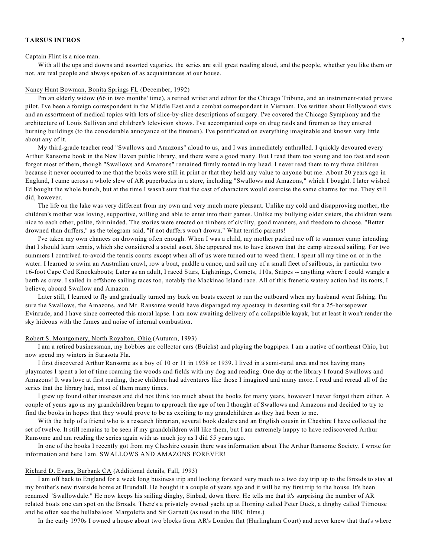#### Captain Flint is a nice man.

With all the ups and downs and assorted vagaries, the series are still great reading aloud, and the people, whether you like them or not, are real people and always spoken of as acquaintances at our house.

# Nancy Hunt Bowman, Bonita Springs FL (December, 1992)

I'm an elderly widow (66 in two months' time), a retired writer and editor for the Chicago Tribune, and an instrument-rated private pilot. I've been a foreign correspondent in the Middle East and a combat correspondent in Vietnam. I've written about Hollywood stars and an assortment of medical topics with lots of slice-by-slice descriptions of surgery. I've covered the Chicago Symphony and the architecture of Louis Sullivan and children's television shows. I've accompanied cops on drug raids and firemen as they entered burning buildings (to the considerable annoyance of the firemen). I've pontificated on everything imaginable and known very little about any of it.

My third-grade teacher read "Swallows and Amazons" aloud to us, and I was immediately enthralled. I quickly devoured every Arthur Ransome book in the New Haven public library, and there were a good many. But I read them too young and too fast and soon forgot most of them, though "Swallows and Amazons" remained firmly rooted in my head. I never read them to my three children because it never occurred to me that the books were still in print or that they held any value to anyone but me. About 20 years ago in England, I came across a whole slew of AR paperbacks in a store, including "Swallows and Amazons," which I bought. I later wished I'd bought the whole bunch, but at the time I wasn't sure that the cast of characters would exercise the same charms for me. They still did, however.

The life on the lake was very different from my own and very much more pleasant. Unlike my cold and disapproving mother, the children's mother was loving, supportive, willing and able to enter into their games. Unlike my bullying older sisters, the children were nice to each other, polite, fairminded. The stories were erected on timbers of civility, good manners, and freedom to choose. "Better drowned than duffers," as the telegram said, "if not duffers won't drown." What terrific parents!

I've taken my own chances on drowning often enough. When I was a child, my mother packed me off to summer camp intending that I should learn tennis, which she considered a social asset. She appeared not to have known that the camp stressed sailing. For two summers I contrived to-avoid the tennis courts except when all of us were turned out to weed them. I spent all my time on or in the water. I learned to swim an Australian crawl, row a boat, paddle a canoe, and sail any of a small fleet of sailboats, in particular two 16-foot Cape Cod Knockabouts; Later as an adult, I raced Stars, Lightnings, Comets, 110s, Snipes -- anything where I could wangle a berth as crew. I sailed in offshore sailing races too, notably the Mackinac Island race. All of this frenetic watery action had its roots, I believe, aboard Swallow and Amazon.

Later still, I learned to fly and gradually turned my back on boats except to run the outboard when my husband went fishing. I'm sure the Swallows, the Amazons, and Mr. Ransome would have disparaged my apostasy in deserting sail for a 25-horsepower Evinrude, and I have since corrected this moral lapse. I am now awaiting delivery of a collapsible kayak, but at least it won't render the sky hideous with the fumes and noise of internal combustion.

### Robert S. Montgomery, North Royalton, Ohio (Autumn, 1993)

I am a retired businessman, my hobbies are collector cars (Buicks) and playing the bagpipes. I am a native of northeast Ohio, but now spend my winters in Sarasota Fla.

I first discovered Arthur Ransome as a boy of 10 or 11 in 1938 or 1939. I lived in a semi-rural area and not having many playmates I spent a lot of time roaming the woods and fields with my dog and reading. One day at the library I found Swallows and Amazons! It was love at first reading, these children had adventures like those I imagined and many more. I read and reread all of the series that the library had, most of them many times.

I grew up found other interests and did not think too much about the books for many years, however I never forgot them either. A couple of years ago as my grandchildren began to approach the age of ten I thought of Swallows and Amazons and decided to try to find the books in hopes that they would prove to be as exciting to my grandchildren as they had been to me.

With the help of a friend who is a research librarian, several book dealers and an English cousin in Cheshire I have collected the set of twelve. It still remains to be seen if my grandchildren will like them, but I am extremely happy to have rediscovered Arthur Ransome and am reading the series again with as much joy as I did 55 years ago.

In one of the books I recently got from my Cheshire cousin there was information about The Arthur Ransome Society, I wrote for information and here I am. SWALLOWS AND AMAZONS FOREVER!

#### Richard D. Evans, Burbank CA (Additional details, Fall, 1993)

I am off back to England for a week long business trip and looking forward very much to a two day trip up to the Broads to stay at my brother's new riverside home at Brundall. He bought it a couple of years ago and it will be my first trip to the house. It's been renamed "Swallowdale." He now keeps his sailing dinghy, Sinbad, down there. He tells me that it's surprising the number of AR related boats one can spot on the Broads. There's a privately owned yacht up at Horning called Peter Duck, a dinghy called Titmouse and he often see the hullabaloos' Margoletta and Sir Garnett (as used in the BBC films.)

In the early 1970s I owned a house about two blocks from AR's London flat (Hurlingham Court) and never knew that that's where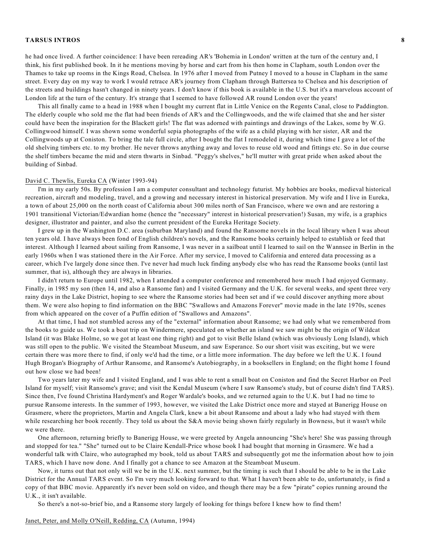he had once lived. A further coincidence: I have been rereading AR's 'Bohemia in London' written at the turn of the century and, I think, his first published book. In it he mentions moving by horse and cart from his then home in Clapham, south London over the Thames to take up rooms in the Kings Road, Chelsea. In 1976 after I moved from Putney I moved to a house in Clapham in the same street. Every day on my way to work I would retrace AR's journey from Clapham through Battersea to Chelsea and his description of the streets and buildings hasn't changed in ninety years. I don't know if this book is available in the U.S. but it's a marvelous account of London life at the turn of the century. It's strange that I seemed to have followed AR round London over the years!

This all finally came to a head in 1988 when I bought my current flat in Little Venice on the Regents Canal, close to Paddington. The elderly couple who sold me the flat had been friends of AR's and the Collingwoods, and the wife claimed that she and her sister could have been the inspiration for the Blackett girls! The flat was adorned with paintings and drawings of the Lakes, some by W.G. Collingwood himself. I was shown some wonderful sepia photographs of the wife as a child playing with her sister, AR and the Collingwoods up at Coniston. To bring the tale full circle, after I bought the flat I remodeled it, during which time I gave a lot of the old shelving timbers etc. to my brother. He never throws anything away and loves to reuse old wood and fittings etc. So in due course the shelf timbers became the mid and stern thwarts in Sinbad. "Peggy's shelves," he'll mutter with great pride when asked about the building of Sinbad.

#### David C. Thewlis, Eureka CA (Winter 1993-94)

I'm in my early 50s. By profession I am a computer consultant and technology futurist. My hobbies are books, medieval historical recreation, aircraft and modeling, travel, and a growing and necessary interest in historical preservation. My wife and I live in Eureka, a town of about 25,000 on the north coast of California about 300 miles north of San Francisco, where we own and are restoring a 1901 transitional Victorian/Edwardian home (hence the "necessary" interest in historical preservation!) Susan, my wife, is a graphics designer, illustrator and painter, and also the current president of the Eureka Heritage Society.

I grew up in the Washington D.C. area (suburban Maryland) and found the Ransome novels in the local library when I was about ten years old. I have always been fond of English children's novels, and the Ransome books certainly helped to establish or feed that interest. Although I learned about sailing from Ransome, I was never in a sailboat until I learned to sail on the Wannsee in Berlin in the early 1960s when I was stationed there in the Air Force. After my service, I moved to California and entered data processing as a career, which I've largely done since then. I've never had much luck finding anybody else who has read the Ransome books (until last summer, that is), although they are always in libraries.

I didn't return to Europe until 1982, when I attended a computer conference and remembered how much I had enjoyed Germany. Finally, in 1985 my son (then 14, and also a Ransome fan) and I visited Germany and the U.K. for several weeks, and spent three very rainy days in the Lake District, hoping to see where the Ransome stories had been set and if we could discover anything more about them. We were also hoping to find information on the BBC "Swallows and Amazons Forever" movie made in the late 1970s, scenes from which appeared on the cover of a Puffin edition of "Swallows and Amazons".

At that time, I had not stumbled across any of the "external" information about Ransome; we had only what we remembered from the books to guide us. We took a boat trip on Windermere, speculated on whether an island we saw might be the origin of Wildcat Island (it was Blake Holme, so we got at least one thing right) and got to visit Belle Island (which was obviously Long Island), which was still open to the public. We visited the Steamboat Museum, and saw Esperance. So our short visit was exciting, but we were certain there was more there to find, if only we'd had the time, or a little more information. The day before we left the U.K. I found Hugh Brogan's Biography of Arthur Ransome, and Ransome's Autobiography, in a booksellers in England; on the flight home I found out how close we had been!

Two years later my wife and I visited England, and I was able to rent a small boat on Coniston and find the Secret Harbor on Peel Island for myself; visit Ransome's grave; and visit the Kendal Museum (where I saw Ransome's study, but of course didn't find TARS). Since then, I've found Christina Hardyment's and Roger Wardale's books, and we returned again to the U.K. but I had no time to pursue Ransome interests. In the summer of 1993, however, we visited the Lake District once more and stayed at Banerigg House on Grasmere, where the proprietors, Martin and Angela Clark, knew a bit about Ransome and about a lady who had stayed with them while researching her book recently. They told us about the S&A movie being shown fairly regularly in Bowness, but it wasn't while we were there.

One afternoon, returning briefly to Banerigg House, we were greeted by Angela announcing "She's here! She was passing through and stopped for tea." "She" turned out to be Claire Kendall-Price whose book I had bought that morning in Grasmere. We had a wonderful talk with Claire, who autographed my book, told us about TARS and subsequently got me the information about how to join TARS, which I have now done. And I finally got a chance to see Amazon at the Steamboat Museum.

Now, it turns out that not only will we be in the U.K. next summer, but the timing is such that I should be able to be in the Lake District for the Annual TARS event. So I'm very much looking forward to that. What I haven't been able to do, unfortunately, is find a copy of that BBC movie. Apparently it's never been sold on video, and though there may be a few "pirate" copies running around the U.K., it isn't available.

So there's a not-so-brief bio, and a Ransome story largely of looking for things before I knew how to find them!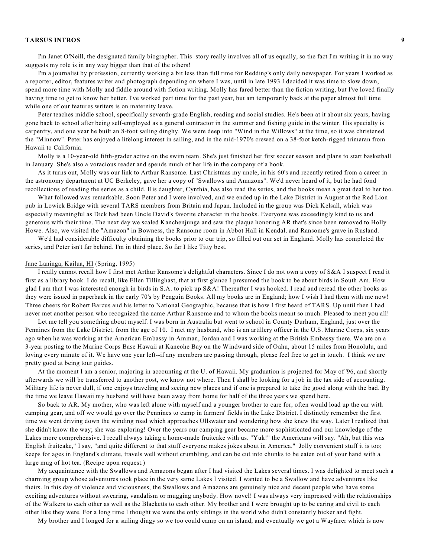I'm Janet O'Neill, the designated family biographer. This story really involves all of us equally, so the fact I'm writing it in no way suggests my role is in any way bigger than that of the others!

I'm a journalist by profession, currently working a bit less than full time for Redding's only daily newspaper. For years I worked as a reporter, editor, features writer and photograph depending on where I was, until in late 1993 I decided it was time to slow down, spend more time with Molly and fiddle around with fiction writing. Molly has fared better than the fiction writing, but I've loved finally having time to get to know her better. I've worked part time for the past year, but am temporarily back at the paper almost full time while one of our features writers is on maternity leave.

Peter teaches middle school, specifically seventh-grade English, reading and social studies. He's been at it about six years, having gone back to school after being self-employed as a general contractor in the summer and fishing guide in the winter. His specialty is carpentry, and one year he built an 8-foot sailing dinghy. We were deep into "Wind in the Willows" at the time, so it was christened the "Minnow". Peter has enjoyed a lifelong interest in sailing, and in the mid-1970's crewed on a 38-foot ketch-rigged trimaran from Hawaii to California.

Molly is a 10-year-old fifth-grader active on the swim team. She's just finished her first soccer season and plans to start basketball in January. She's also a voracious reader and spends much of her life in the company of a book.

As it turns out, Molly was our link to Arthur Ransome. Last Christmas my uncle, in his 60's and recently retired from a career in the astronomy department at UC Berkeley, gave her a copy of "Swallows and Amazons". We'd never heard of it, but he had fond recollections of reading the series as a child. His daughter, Cynthia, has also read the series, and the books mean a great deal to her too.

What followed was remarkable. Soon Peter and I were involved, and we ended up in the Lake District in August at the Red Lion pub in Lowick Bridge with several TARS members from Britain and Japan. Included in the group was Dick Kelsall, which was especially meaningful as Dick had been Uncle David's favorite character in the books. Everyone was exceedingly kind to us and generous with their time. The next day we scaled Kanchenjunga and saw the plaque honoring AR that's since been removed to Holly Howe. Also, we visited the "Amazon" in Bowness, the Ransome room in Abbot Hall in Kendal, and Ransome's grave in Rusland.

We'd had considerable difficulty obtaining the books prior to our trip, so filled out our set in England. Molly has completed the series, and Peter isn't far behind. I'm in third place. So far I like Titty best.

### Jane Laninga, Kailua, HI (Spring, 1995)

I really cannot recall how I first met Arthur Ransome's delightful characters. Since I do not own a copy of S&A I suspect I read it first as a library book. I do recall, like Ellen Tillinghast, that at first glance I presumed the book to be about birds in South Am. How glad I am that I was interested enough in birds in S.A. to pick up S&A! Thereafter I was hooked. I read and reread the other books as they were issued in paperback in the early 70's by Penguin Books. All my books are in England; how I wish I had them with me now! Three cheers for Robert Barcus and his letter to National Geographic, because that is how I first heard of TARS. Up until then I had never met another person who recognized the name Arthur Ransome and to whom the books meant so much. Pleased to meet you all!

Let me tell you something about myself. I was born in Australia but went to school in County Durham, England, just over the Pennines from the Lake District, from the age of 10. I met my husband, who is an artillery officer in the U.S. Marine Corps, six years ago when he was working at the American Embassy in Amman, Jordan and I was working at the British Embassy there. We are on a 3-year posting to the Marine Corps Base Hawaii at Kaneohe Bay on the Windward side of Oahu, about 15 miles from Honolulu, and loving every minute of it. We have one year left--if any members are passing through, please feel free to get in touch. I think we are pretty good at being tour guides.

At the moment I am a senior, majoring in accounting at the U. of Hawaii. My graduation is projected for May of '96, and shortly afterwards we will be transferred to another post, we know not where. Then I shall be looking for a job in the tax side of accounting. Military life is never dull, if one enjoys traveling and seeing new places and if one is prepared to take the good along with the bad. By the time we leave Hawaii my husband will have been away from home for half of the three years we spend here.

So back to AR. My mother, who was left alone with myself and a younger brother to care for, often would load up the car with camping gear, and off we would go over the Pennines to camp in farmers' fields in the Lake District. I distinctly remember the first time we went driving down the winding road which approaches Ullswater and wondering how she knew the way. Later I realized that she didn't know the way; she was exploring! Over the years our camping gear became more sophisticated and our knowledge of the Lakes more comprehensive. I recall always taking a home-made fruitcake with us. "Yuk!" the Americans will say. "Ah, but this was English fruitcake," I say, "and quite different to that stuff everyone makes jokes about in America." Jolly convenient stuff it is too; keeps for ages in England's climate, travels well without crumbling, and can be cut into chunks to be eaten out of your hand with a large mug of hot tea. (Recipe upon request.)

My acquaintance with the Swallows and Amazons began after I had visited the Lakes several times. I was delighted to meet such a charming group whose adventures took place in the very same Lakes I visited. I wanted to be a Swallow and have adventures like theirs. In this day of violence and viciousness, the Swallows and Amazons are genuinely nice and decent people who have some exciting adventures without swearing, vandalism or mugging anybody. How novel! I was always very impressed with the relationships of the Walkers to each other as well as the Blacketts to each other. My brother and I were brought up to be caring and civil to each other like they were. For a long time I thought we were the only siblings in the world who didn't constantly bicker and fight.

My brother and I longed for a sailing dingy so we too could camp on an island, and eventually we got a Wayfarer which is now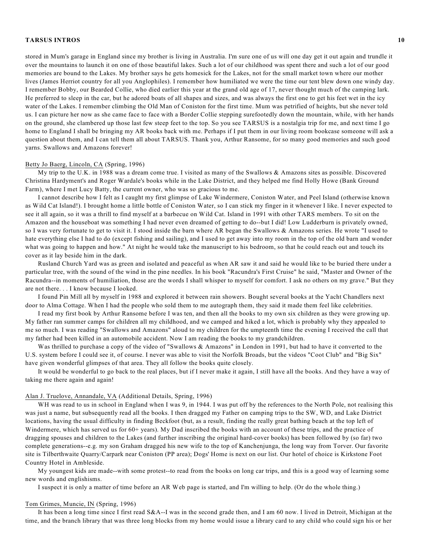stored in Mum's garage in England since my brother is living in Australia. I'm sure one of us will one day get it out again and trundle it over the mountains to launch it on one of those beautiful lakes. Such a lot of our childhood was spent there and such a lot of our good memories are bound to the Lakes. My brother says he gets homesick for the Lakes, not for the small market town where our mother lives (James Herriot country for all you Anglophiles). I remember how humiliated we were the time our tent blew down one windy day. I remember Bobby, our Bearded Collie, who died earlier this year at the grand old age of 17, never thought much of the camping lark. He preferred to sleep in the car, but he adored boats of all shapes and sizes, and was always the first one to get his feet wet in the icy water of the Lakes. I remember climbing the Old Man of Coniston for the first time. Mum was petrified of heights, but she never told us. I can picture her now as she came face to face with a Border Collie stepping surefootedly down the mountain, while, with her hands on the ground, she clambered up those last few steep feet to the top. So you see TARSUS is a nostalgia trip for me, and next time I go home to England I shall be bringing my AR books back with me. Perhaps if I put them in our living room bookcase someone will ask a question about them, and I can tell them all about TARSUS. Thank you, Arthur Ransome, for so many good memories and such good yarns. Swallows and Amazons forever!

#### Betty Jo Baerg, Lincoln, CA (Spring, 1996)

My trip to the U.K. in 1988 was a dream come true. I visited as many of the Swallows & Amazons sites as possible. Discovered Christina Hardyment's and Roger Wardale's books while in the Lake District, and they helped me find Holly Howe (Bank Ground Farm), where I met Lucy Batty, the current owner, who was so gracious to me.

I cannot describe how I felt as I caught my first glimpse of Lake Windermere, Coniston Water, and Peel Island (otherwise known as Wild Cat Island!). I brought home a little bottle of Coniston Water, so I can stick my finger in it whenever I like. I never expected to see it all again, so it was a thrill to find myself at a barbecue on Wild Cat. Island in 1991 with other TARS members. To sit on the Amazon and the houseboat was something I had never even dreamed of getting to do--but I did! Low Ludderburn is privately owned, so I was very fortunate to get to visit it. I stood inside the barn where AR began the Swallows & Amazons series. He wrote "I used to hate everything else I had to do (except fishing and sailing), and I used to get away into my room in the top of the old barn and wonder what was going to happen and how." At night he would take the manuscript to his bedroom, so that he could reach out and touch its cover as it lay beside him in the dark.

Rusland Church Yard was as green and isolated and peaceful as when AR saw it and said he would like to be buried there under a particular tree, with the sound of the wind in the pine needles. In his book "Racundra's First Cruise" he said, "Master and Owner of the Racundra--in moments of humiliation, those are the words I shall whisper to myself for comfort. I ask no others on my grave." But they are not there. . . I know because I looked.

I found Pin Mill all by myself in 1988 and explored it between rain showers. Bought several books at the Yacht Chandlers next door to Alma Cottage. When I had the people who sold them to me autograph them, they said it made them feel like celebrities.

I read my first book by Arthur Ransome before I was ten, and then all the books to my own six children as they were growing up. My father ran summer camps for children all my childhood, and we camped and hiked a lot, which is probably why they appealed to me so much. I was reading "Swallows and Amazons" aloud to my children for the umpteenth time the evening I received the call that my father had been killed in an automobile accident. Now I am reading the books to my grandchildren.

Was thrilled to purchase a copy of the video of "Swallows & Amazons" in London in 1991, but had to have it converted to the U.S. system before I could see it, of course. I never was able to visit the Norfolk Broads, but the videos "Coot Club" and "Big Six" have given wonderful glimpses of that area. They all follow the books quite closely.

It would be wonderful to go back to the real places, but if I never make it again, I still have all the books. And they have a way of taking me there again and again!

#### Alan J. Truelove, Annandale, VA (Additional Details, Spring, 1996)

WH was read to us in school in England when I was 9, in 1944. I was put off by the references to the North Pole, not realising this was just a name, but subsequently read all the books. I then dragged my Father on camping trips to the SW, WD, and Lake District locations, having the usual difficulty in finding Beckfoot (but, as a result, finding the really great bathing beach at the top left of Windermere, which has served us for 60+ years). My Dad inscribed the books with an account of these trips, and the practice of dragging spouses and children to the Lakes (and further inscribing the original hard-cover books) has been followed by (so far) two complete generations--e.g. my son Graham dragged his new wife to the top of Kanchenjunga, the long way from Torver. Our favorite site is Tilberthwaite Quarry/Carpark near Coniston (PP area); Dogs' Home is next on our list. Our hotel of choice is Kirkstone Foot Country Hotel in Ambleside.

My youngest kids are made--with some protest--to read from the books on long car trips, and this is a good way of learning some new words and englishisms.

I suspect it is only a matter of time before an AR Web page is started, and I'm willing to help. (Or do the whole thing.)

#### Tom Grimes, Muncie, IN (Spring, 1996)

It has been a long time since I first read S&A--I was in the second grade then, and I am 60 now. I lived in Detroit, Michigan at the time, and the branch library that was three long blocks from my home would issue a library card to any child who could sign his or her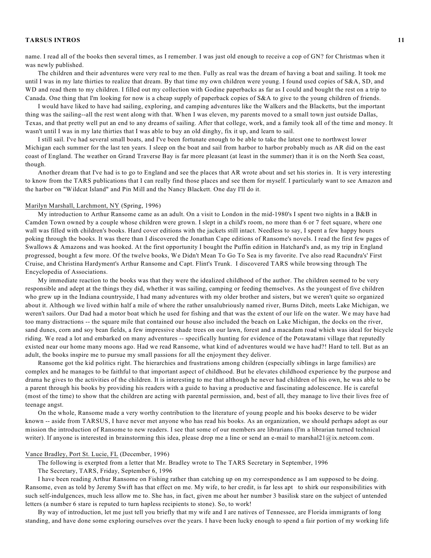name. I read all of the books then several times, as I remember. I was just old enough to receive a cop of GN? for Christmas when it was newly published.

The children and their adventures were very real to me then. Fully as real was the dream of having a boat and sailing. It took me until I was in my late thirties to realize that dream. By that time my own children were young. I found used copies of S&A, SD, and WD and read them to my children. I filled out my collection with Godine paperbacks as far as I could and bought the rest on a trip to Canada. One thing that I'm looking for now is a cheap supply of paperback copies of S&A to give to the young children of friends.

I would have liked to have had sailing, exploring, and camping adventures like the Walkers and the Blacketts, but the important thing was the sailing--all the rest went along with that. When I was eleven, my parents moved to a small town just outside Dallas, Texas, and that pretty well put an end to any dreams of sailing. After that college, work, and a family took all of the time and money. It wasn't until I was in my late thirties that I was able to buy an old dinghy, fix it up, and learn to sail.

I still sail. I've had several small boats, and I've been fortunate enough to be able to take the latest one to northwest lower Michigan each summer for the last ten years. I sleep on the boat and sail from harbor to harbor probably much as AR did on the east coast of England. The weather on Grand Traverse Bay is far more pleasant (at least in the summer) than it is on the North Sea coast, though.

Another dream that I've had is to go to England and see the places that AR wrote about and set his stories in. It is very interesting to know from the TARS publications that I can really find those places and see them for myself. I particularly want to see Amazon and the harbor on "Wildcat Island" and Pin Mill and the Nancy Blackett. One day I'll do it.

#### Marilyn Marshall, Larchmont, NY (Spring, 1996)

My introduction to Arthur Ransome came as an adult. On a visit to London in the mid-1980's I spent two nights in a B&B in Camden Town owned by a couple whose children were grown. I slept in a child's room, no more than 6 or 7 feet square, where one wall was filled with children's books. Hard cover editions with the jackets still intact. Needless to say, I spent a few happy hours poking through the books. It was there than I discovered the Jonathan Cape editions of Ransome's novels. I read the first few pages of Swallows & Amazons and was hooked. At the first opportunity I bought the Puffin edition in Hatchard's and, as my trip in England progressed, bought a few more. Of the twelve books, We Didn't Mean To Go To Sea is my favorite. I've also read Racundra's' First Cruise, and Christina Hardyment's Arthur Ransome and Capt. Flint's Trunk. I discovered TARS while browsing through The Encyclopedia of Associations.

My immediate reaction to the books was that they were the idealized childhood of the author. The children seemed to be very responsible and adept at the things they did, whether it was sailing, camping or feeding themselves. As the youngest of five children who grew up in the Indiana countryside, I had many adventures with my older brother and sisters, but we weren't quite so organized about it. Although we lived within half a mile of where the rather unsalubriously named river, Burns Ditch, meets Lake Michigan, we weren't sailors. Our Dad had a motor boat which he used for fishing and that was the extent of our life on the water. We may have had too many distractions -- the square mile that contained our house also included the beach on Lake Michigan, the docks on the river, sand dunes, corn and soy bean fields, a few impressive shade trees on our lawn, forest and a macadam road which was ideal for bicycle riding. We read a lot and embarked on many adventures -- specifically hunting for evidence of the Potawatami village that reputedly existed near our home many moons ago. Had we read Ransome, what kind of adventures would we have had?! Hard to tell. But as an adult, the books inspire me to pursue my small passions for all the enjoyment they deliver.

Ransome got the kid politics right. The hierarchies and frustrations among children (especially siblings in large families) are complex and he manages to be faithful to that important aspect of childhood. But he elevates childhood experience by the purpose and drama he gives to the activities of the children. It is interesting to me that although he never had children of his own, he was able to be a parent through his books by providing his readers with a guide to having a productive and fascinating adolescence. He is careful (most of the time) to show that the children are acting with parental permission, and, best of all, they manage to live their lives free of teenage angst.

On the whole, Ransome made a very worthy contribution to the literature of young people and his books deserve to be wider known -- aside from TARSUS, I have never met anyone who has read his books. As an organization, we should perhaps adopt as our mission the introduction of Ransome to new readers. I see that some of our members are librarians (I'm a librarian turned technical writer). If anyone is interested in brainstorming this idea, please drop me a line or send an e-mail to marshal21@ix.netcom.com.

### Vance Bradley, Port St. Lucie, FL (December, 1996)

The following is exerpted from a letter that Mr. Bradley wrote to The TARS Secretary in September, 1996

The Secretary, TARS, Friday, September 6, 1996

I have been reading Arthur Ransome on Fishing rather than catching up on my correspondence as I am supposed to be doing. Ransome, even as told by Jeremy Swift has that effect on me. My wife, to her credit, is far less apt to shirk our responsibilities with such self-indulgences, much less allow me to. She has, in fact, given me about her number 3 basilisk stare on the subject of untended letters (a number 6 stare is reputed to turn hapless recipients to stone). So, to work!

By way of introduction, let me just tell you briefly that my wife and I are natives of Tennessee, are Florida immigrants of long standing, and have done some exploring ourselves over the years. I have been lucky enough to spend a fair portion of my working life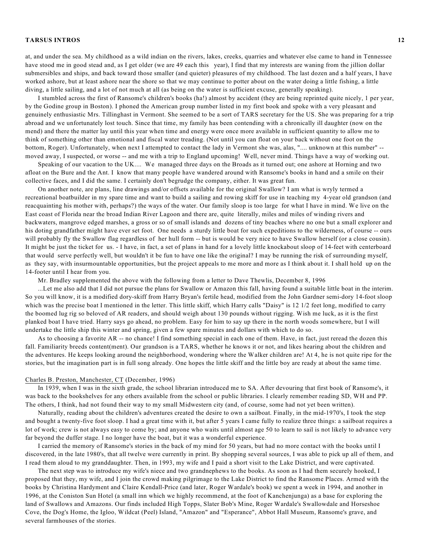at, and under the sea. My childhood as a wild indian on the rivers, lakes, creeks, quarries and whatever else came to hand in Tennessee have stood me in good stead and, as I get older (we are 49 each this year), I find that my interests are waning from the jillion dollar submersibles and ships, and back toward those smaller (and quieter) pleasures of my childhood. The last dozen and a half years, I have worked ashore, but at least ashore near the shore so that we may continue to potter about on the water doing a little fishing, a little diving, a little sailing, and a lot of not much at all (as being on the water is sufficient excuse, generally speaking).

I stumbled across the first of Ransome's children's books (ha!) almost by accident (they are being reprinted quite nicely, 1 per year, by the Godine group in Boston). I phoned the American group number listed in my first book and spoke with a very pleasant and genuinely enthusiastic Mrs. Tillinghast in Vermont. She seemed to be a sort of TARS secretary for the US. She was preparing for a trip abroad and we unfortunately lost touch. Since that time, my family has been contending with a chronically ill daughter (now on the mend) and there the matter lay until this year when time and energy were once more available in sufficient quantity to allow me to think of something other than emotional and fiscal water treading. (Not until you can float on your back without one foot on the bottom, Roger). Unfortunately, when next I attempted to contact the lady in Vermont she was, alas, ".... unknown at this number" - moved away, I suspected, or worse -- and me with a trip to England upcoming! Well, never mind. Things have a way of working out.

Speaking of our vacation to the UK.... We managed three days on the Broads as it turned out; one ashore at Horning and two afloat on the Bure and the Ant. I know that many people have wandered around with Ransome's books in hand and a smile on their collective faces, and I did the same. I certainly don't begrudge the company, either. It was great fun.

On another note, are plans, line drawings and/or offsets available for the original Swallow? I am what is wryly termed a recreational boatbuilder in my spare time and want to build a sailing and rowing skiff for use in teaching my 4-year old grandson (and reacquainting his mother with, perhaps?) the ways of the water. Our family sloop is too large for what I have in mind. We live on the East coast of Florida near the broad Indian River Lagoon and there are, quite literally, miles and miles of winding rivers and backwaters, mangrove edged marshes, a gross or so of small islands and dozens of tiny beaches where no one but a small explorer and his doting grandfather might have ever set foot. One needs a sturdy little boat for such expeditions to the wilderness, of course -- ours will probably fly the Swallow flag regardless of her hull form -- but is would be very nice to have Swallow herself (or a close cousin). It might be just the ticket for us. - I have, in fact, a set of plans in hand for a lovely little knockabout sloop of 14-feet with centerboard that would serve perfectly well, but wouldn't it be fun to have one like the original? I may be running the risk of surrounding myself, as they say, with insurmountable opportunities, but the project appeals to me more and more as I think about it. I shall hold up on the 14-footer until I hear from you.

Mr. Bradley supplemented the above with the following from a letter to Dave Thewlis, December 8, 1996

...Let me also add that I did not pursue the plans for Swallow or Amazon this fall, having found a suitable little boat in the interim. So you will know, it is a modified dory-skiff from Harry Bryan's fertile head, modified from the John Gardner semi-dory 14-foot sloop which was the precise boat I mentioned in the letter. This little skiff, which Harry calls "Daisy" is 12 1/2 feet long, modified to carry the boomed lug rig so beloved of AR readers, and should weigh about 130 pounds without rigging. Wish me luck, as it is the first planked boat I have tried. Harry says go ahead, no problem. Easy for him to say up there in the north woods somewhere, but I will undertake the little ship this winter and spring, given a few spare minutes and dollars with which to do so.

As to choosing a favorite AR -- no chance! I find something special in each one of them. Have, in fact, just reread the dozen this fall. Familiarity breeds content(ment). Our grandson is a TARS, whether he knows it or not, and likes hearing about the children and the adventures. He keeps looking around the neighborhood, wondering where the Walker children are! At 4, he is not quite ripe for the stories, but the imagination part is in full song already. One hopes the little skiff and the little boy are ready at about the same time.

# Charles B. Preston, Manchester, CT (December, 1996)

In 1939, when I was in the sixth grade, the school librarian introduced me to SA. After devouring that first book of Ransome's, it was back to the bookshelves for any others available from the school or public libraries. I clearly remember reading SD, WH and PP. The others, I think, had not found their way to my small Midwestern city (and, of course, some had not yet been written).

Naturally, reading about the children's adventures created the desire to own a sailboat. Finally, in the mid-1970's, I took the step and bought a twenty-five foot sloop. I had a great time with it, but after 5 years I came fully to realize three things: a sailboat requires a lot of work; crew is not always easy to come by; and anyone who waits until almost age 50 to learn to sail is not likely to advance very far beyond the duffer stage. I no longer have the boat, but it was a wonderful experience.

I carried the memory of Ransome's stories in the back of my mind for 50 years, but had no more contact with the books until I discovered, in the late 1980's, that all twelve were currently in print. By shopping several sources, I was able to pick up all of them, and I read them aloud to my granddaughter. Then, in 1993, my wife and I paid a short visit to the Lake District, and were captivated.

The next step was to introduce my wife's niece and two grandnephews to the books. As soon as I had them securely hooked, I proposed that they, my wife, and I join the crowd making pilgrimage to the Lake District to find the Ransome Places. Armed with the books by Christina Hardyment and Claire Kendall-Price (and later, Roger Wardale's book) we spent a week in 1994, and another in 1996, at the Coniston Sun Hotel (a small inn which we highly recommend, at the foot of Kanchenjunga) as a base for exploring the land of Swallows and Amazons. Our finds included High Topps, Slater Bob's Mine, Roger Wardale's Swallowdale and Horseshoe Cove, the Dog's Home, the Igloo, Wildcat (Peel) Island, "Amazon" and "Esperance", Abbot Hall Museum, Ransome's grave, and several farmhouses of the stories.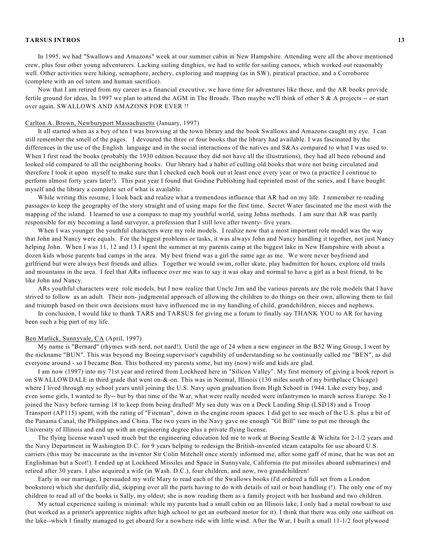In 1995, we had "Swallows and Amazons" week at our summer cabin in New Hampshire. Attending were all the above mentioned crew, plus four other young adventurers. Lacking sailing dinghies, we had to settle for sailing canoes, which worked out reasonably well. Other activities were hiking, semaphore, archery, exploring and mapping (as in SW), piratical practice, and a Corroboree (complete with an eel totem and human sacrifice).

Now that I am retired from my career as a financial executive, we have time for adventures like these, and the AR books provide fertile ground for ideas. In 1997 we plan to attend the AGM in The Broads. Then maybe we'll think of other S & A projects -- or start over again. SWALLOWS AND AMAZONS FOR EVER !!

## Carlton A. Brown, Newburyport Massachusetts (January, 1997)

It all started when as a boy of ten I was browsing at the town library and the book Swallows and Amazons caught my eye. I can still remember the smell of the pages. I devoured the three or four books that the library had available. I was fascinated by the differences in the use of the English language and in the social interactions of the natives and S&As compared to what I was used to. When I first read the books (probably the 1930 edition because they did not have all the illustrations), they had all been rebound and looked old compared to all the neighboring books. Our library had a habit of culling old books that were not being circulated and therefore I took it upon myself to make sure that I checked each book out at least once every year or two (a practice I continue to perform almost forty years later!). This past year I found that Godine Publishing had reprinted most of the series, and I have bought myself and the library a complete set of what is available.

While writing this resume, I look back and realize what a tremendous influence that AR had on my life. I remember re-reading passages to keep the geography of the story straight and of using maps for the first time. Secret Water fascinated me the most with the mapping of the island. I learned to use a compass to map my youthful world, using Johns methods. I am sure that AR was partly responsible for my becoming a land surveyor, a profession that I still love after twenty- five years.

When I was younger the youthful characters were my role models. I realize now that a most important role model was the way that John and Nancy were equals. For the biggest problems or tasks, it was always John and Nancy handling it together, not just Nancy helping John. When I was 11, 12 and 13 I spent the summer at my parents camp at the biggest lake in New Hampshire with about a dozen kids whose parents had camps in the area. My best friend was a girl the same age as me. We were never boyfriend and girlfriend but were always best friends and allies. Together we would swim, roller skate, play badmitten for hours, explore old trails and mountains in the area. I feel that ARs influence over me was to say it was okay and normal to have a girl as a best friend, to be like John and Nancy.

ARs youthful characters were role models, but I now realize that Uncle Jim and the various parents are the role models that I have strived to follow as an adult. Their non- judgmental approach of allowing the children to do things on their own, allowing them to fail and triumph based on their own decisions must have influenced me in my handling of child, grandchildren, nieces and nephews.

In conclusion, I would like to thank TARS and TARSUS for giving me a forum to finally say THANK YOU to AR for having been such a big part of my life.

### Ben Matlick, Sunnyvale, CA (April, 1997)

My name is "Bernard" (rhymes with nerd, not nard!). Until the age of 24 when a new engineer in the B52 Wing Group, I went by the nickname "BUN". This was beyond my Boeing supervisor's capability of understanding so he continually called me "BEN", as did everyone around - so I became Ben. This bothered my parents some, but my (now) wife and kids are glad.

I am now (1997) into my 71st year and retired from Lockheed here in "Silicon Valley". My first memory of giving a book report is on SWALLOWDALE in third grade that went on-&-on. This was in Normal, Illinois (130 miles south of my birthplace Chicago) where I lived through my school years until joining the U.S. Navy upon graduation from High School in 1944. Like every boy, and even some girls, I wanted to fly-- but by that time of the War, what were really needed were infantrymen to march across Europe. So I joined the Navy before turning 18 to keep from being drafted! My sea duty was on a Dock Landing Ship (LSD18) and a Troop Transport (AP115) spent, with the rating of "Fireman", down in the engine room spaces. I did get to see much of the U.S. plus a bit of the Panama Canal, the Philippines and China. The two years in the Navy gave me enough "Gl Bill" time to put me through the University of Illinois and end up with an engineering degree plus a private flying license.

The flying license wasn't used much but the engineering education led me to work at Boeing Seattle & Wichita for 2-1/2 years and the Navy Department in Washington D.C. for 9 years helping to redesign the British-invented steam catapults for use aboard U.S. carriers (this may be inaccurate as the inventor Sir Colin Mitchell once sternly informed me, after some gaff of mine, that he was not an Englishman but a Scot!). I ended up at Lockheed Missiles and Space in Sunnyvale, California (to put missiles aboard submarines) and retired after 30 years. I also acquired a wife (in Wash. D.C.), four children, and now, two grandchildren!

Early in our marriage, I persuaded my wife Mary to read each of the Swallows books (I'd ordered a full set from a London bookstore) which she dutifully did, skipping over all the parts having to do with details of sail or boat handling (!). The only one of my children to read all of the books is Sally, my oldest; she is now reading them as a family project with her husband and two children.

My actual experience sailing is minimal: while my parents had a small cabin on an Illinois lake, I only had a metal rowboat to use (but worked as a printer's apprentice nights after high school to get an outboard motor for it). I think that there was only one sailboat on the lake--which I finally managed to get aboard for a nowhere ride with little wind. After the War, I built a small 11-1/2 foot plywood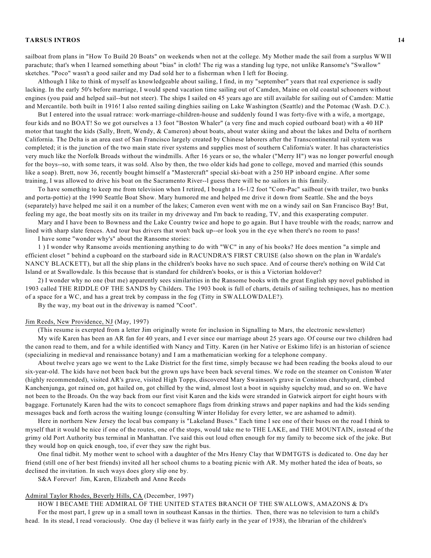sailboat from plans in "How To Build 20 Boats" on weekends when not at the college. My Mother made the sail from a surplus WWII parachute; that's when I learned something about "bias" in cloth! The rig was a standing lug type, not unlike Ransome's "Swallow" sketches. "Poco" wasn't a good sailer and my Dad sold her to a fisherman when I left for Boeing.

Although I like to think of myself as knowledgeable about sailing, I find, in my "september" years that real experience is sadly lacking. In the early 50's before marriage, I would spend vacation time sailing out of Camden, Maine on old coastal schooners without engines (you paid and helped sail--but not steer). The ships I sailed on 45 years ago are still available for sailing out of Camden: Mattie and Mercantile. both built in 1916! I also rented sailing dinghies sailing on Lake Washington (Seattle) and the Potomac (Wash. D.C.).

But I entered into the usual ratrace: work-marriage-children-house and suddenly found I was forty-five with a wife, a mortgage, four kids and no BOAT! So we got ourselves a 13 foot "Boston Whaler" (a very fine and much copied outboard boat) with a 40 HP motor that taught the kids (Sally, Brett, Wendy, & Cameron) about boats, about water skiing and about the lakes and Delta of northern California. The Delta is an area east of San Francisco largely created by Chinese laborers after the Transcontinental rail system was completed; it is the junction of the two main state river systems and supplies most of southern California's water. It has characteristics very much like the Norfolk Broads without the windmills. After 16 years or so, the whaler ("Merry H") was no longer powerful enough for the boys--so, with some tears, it was sold. Also by then, the two older kids had gone to college, moved and married (this sounds like a soap). Brett, now 36, recently bought himself a "Mastercraft" special ski-boat with a 250 HP inboard engine. After some training, I was allowed to drive his boat on the Sacramento River--l guess there will be no sailors in this family.

To have something to keep me from television when I retired, I bought a 16-1/2 foot "Com-Pac" sailboat (with trailer, two bunks and porta-pottie) at the 1990 Seattle Boat Show. Mary humored me and helped me drive it down from Seattle. She and the boys (separately) have helped me sail it on a number of the lakes; Cameron even went with me on a windy sail on San Francisco Bay! But, feeling my age, the boat mostly sits on its trailer in my driveway and I'm back to reading, TV, and this exasperating computer.

Mary and I have been to Bowness and the Lake Country twice and hope to go again. But I have trouble with the roads; narrow and lined with sharp slate fences. And tour bus drivers that won't back up--or look you in the eye when there's no room to pass!

I have some "wonder why's" about the Ransome stories:

1 ) I wonder why Ransome avoids mentioning anything to do with "WC" in any of his books? He does mention "a simple and efficient closet " behind a cupboard on the starboard side in RACUNDRA'S FIRST CRUISE (also shown on the plan in Wardale's NANCY BLACKETT), but all the ship plans in the children's books have no such space. And of course there's nothing on Wild Cat Island or at Swallowdale. Is this because that is standard for children's books, or is this a Victorian holdover?

2) I wonder why no one (but me) apparently sees similarities in the Ransome books with the great English spy novel published in 1903 called THE RIDDLE OF THE SANDS by Childers. The 1903 book is full of charts, details of sailing techniques, has no mention of a space for a WC, and has a great trek by compass in the fog (Titty in SWALLOWDALE?).

By the way, my boat out in the driveway is named "Coot".

### Jim Reeds, New Providence, NJ (May, 1997)

(This resume is exerpted from a letter Jim originally wrote for inclusion in Signalling to Mars, the electronic newsletter)

My wife Karen has been an AR fan for 40 years, and I ever since our marriage about 25 years ago. Of course our two children had the canon read to them, and for a while identified with Nancy and Titty. Karen (in her Native or Eskimo life) is an historian of science (specializing in medieval and renaissance botany) and I am a mathematician working for a telephone company.

About twelve years ago we went to the Lake District for the first time, simply because we had been reading the books aloud to our six-year-old. The kids have not been back but the grown ups have been back several times. We rode on the steamer on Coniston Water (highly recommended), visited AR's grave, visited High Topps, discovered Mary Swainson's grave in Coniston churchyard, climbed Kanchenjunga, got rained on, got hailed on, got chilled by the wind, almost lost a boot in squishy squelchy mud, and so on. We have not been to the Broads. On the way back from our first visit Karen and the kids were stranded in Gatwick airport for eight hours with baggage. Fortunately Karen had the wits to concoct semaphore flags from drinking straws and paper napkins and had the kids sending messages back and forth across the waiting lounge (consulting Winter Holiday for every letter, we are ashamed to admit).

Here in northern New Jersey the local bus company is "Lakeland Buses." Each time I see one of their buses on the road I think to myself that it would be nice if one of the routes, one of the stops, would take me to THE LAKE, and THE MOUNTAIN, instead of the grimy old Port Authority bus terminal in Manhattan. I've said this out loud often enough for my family to become sick of the joke. But they would hop on quick enough, too, if ever they saw the right bus.

One final tidbit. My mother went to school with a daughter of the Mrs Henry Clay that WDMTGTS is dedicated to. One day her friend (still one of her best friends) invited all her school chums to a boating picnic with AR. My mother hated the idea of boats, so declined the invitation. In such ways does glory slip one by.

S&A Forever! Jim, Karen, Elizabeth and Anne Reeds

### Admiral Taylor Rhodes, Beverly Hills, CA (December, 1997)

HOW I BECAME THE ADMIRAL OF THE UNITED STATES BRANCH OF THE SWALLOWS, AMAZONS & D's For the most part, I grew up in a small town in southeast Kansas in the thirties. Then, there was no television to turn a child's head. In its stead, I read voraciously. One day (I believe it was fairly early in the year of 1938), the librarian of the children's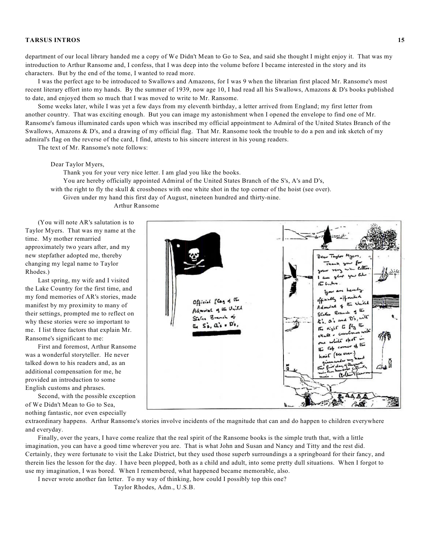department of our local library handed me a copy of We Didn't Mean to Go to Sea, and said she thought I might enjoy it. That was my introduction to Arthur Ransome and, I confess, that I was deep into the volume before I became interested in the story and its characters. But by the end of the tome, I wanted to read more.

I was the perfect age to be introduced to Swallows and Amazons, for I was 9 when the librarian first placed Mr. Ransome's most recent literary effort into my hands. By the summer of 1939, now age 10, I had read all his Swallows, Amazons & D's books published to date, and enjoyed them so much that I was moved to write to Mr. Ransome.

Some weeks later, while I was yet a few days from my eleventh birthday, a letter arrived from England; my first letter from another country. That was exciting enough. But you can image my astonishment when I opened the envelope to find one of Mr. Ransome's famous illuminated cards upon which was inscribed my official appointment to Admiral of the United States Branch of the Swallows, Amazons & D's, and a drawing of my official flag. That Mr. Ransome took the trouble to do a pen and ink sketch of my admiral's flag on the reverse of the card, I find, attests to his sincere interest in his young readers.

The text of Mr. Ransome's note follows:

#### Dear Taylor Myers,

Thank you for your very nice letter. I am glad you like the books. You are hereby officially appointed Admiral of the United States Branch of the S's, A's and D's, with the right to fly the skull & crossbones with one white shot in the top corner of the hoist (see over). Given under my hand this first day of August, nineteen hundred and thirty-nine. Arthur Ransome

(You will note AR's salutation is to Taylor Myers. That was my name at the time. My mother remarried approximately two years after, and my new stepfather adopted me, thereby changing my legal name to Taylor

Rhodes.) Last spring, my wife and I visited the Lake Country for the first time, and my fond memories of AR's stories, made manifest by my proximity to many of their settings, prompted me to reflect on why these stories were so important to me. I list three factors that explain Mr. Ransome's significant to me:

First and foremost, Arthur Ransome was a wonderful storyteller. He never talked down to his readers and, as an additional compensation for me, he provided an introduction to some English customs and phrases.

Second, with the possible exception of We Didn't Mean to Go to Sea, nothing fantastic, nor even especially



extraordinary happens. Arthur Ransome's stories involve incidents of the magnitude that can and do happen to children everywhere and everyday.

Finally, over the years, I have come realize that the real spirit of the Ransome books is the simple truth that, with a little imagination, you can have a good time wherever you are. That is what John and Susan and Nancy and Titty and the rest did. Certainly, they were fortunate to visit the Lake District, but they used those superb surroundings a a springboard for their fancy, and therein lies the lesson for the day. I have been plopped, both as a child and adult, into some pretty dull situations. When I forgot to use my imagination, I was bored. When I remembered, what happened became memorable, also.

I never wrote another fan letter. To my way of thinking, how could I possibly top this one?

Taylor Rhodes, Adm., U.S.B.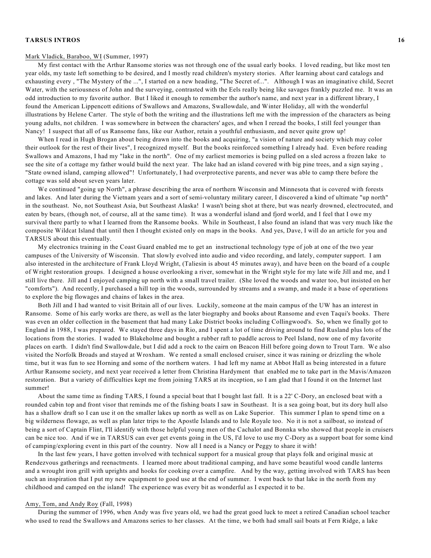#### Mark Vladick, Baraboo, WI (Summer, 1997)

My first contact with the Arthur Ransome stories was not through one of the usual early books. I loved reading, but like most ten year olds, my taste left something to be desired, and I mostly read children's mystery stories. After learning about card catalogs and exhausting every , "The Mystery of the ...", I started on a new heading, "The Secret of...". Although I was an imaginative child, Secret Water, with the seriousness of John and the surveying, contrasted with the Eels really being like savages frankly puzzled me. It was an odd introduction to my favorite author. But I liked it enough to remember the author's name, and next year in a different library, I found the American Lippencott editions of Swallows and Amazons, Swallowdale, and Winter Holiday, all with the wonderful illustrations by Helene Carter. The style of both the writing and the illustrations left me with the impression of the characters as being young adults, not children. I was somewhere in between the characters' ages, and when I reread the books, I still feel younger than Nancy! I suspect that all of us Ransome fans, like our Author, retain a youthful enthusiasm, and never quite grow up!

When I read in Hugh Brogan about being drawn into the books and acquiring, "a vision of nature and society which may color their outlook for the rest of their lives", I recognized myself. But the books reinforced something I already had. Even before reading Swallows and Amazons, I had my "lake in the north". One of my earliest memories is being pulled on a sled across a frozen lake to see the site of a cottage my father would build the next year. The lake had an island covered with big pine trees, and a sign saying , "State owned island, camping allowed"! Unfortunately, I had overprotective parents, and never was able to camp there before the cottage was sold about seven years later.

We continued "going up North", a phrase describing the area of northern Wisconsin and Minnesota that is covered with forests and lakes. And later during the Vietnam years and a sort of semi-voluntary military career, I discovered a kind of ultimate "up north" in the southeast. No, not Southeast Asia, but Southeast Alaska! I wasn't being shot at there, but was nearly drowned, electrocuted, and eaten by bears, (though not, of course, all at the same time). It was a wonderful island and fjord world, and I feel that I owe my survival there partly to what I learned from the Ransome books. While in Southeast, I also found an island that was very much like the composite Wildcat Island that until then I thought existed only on maps in the books. And yes, Dave, I will do an article for you and TARSUS about this eventually.

My electronics training in the Coast Guard enabled me to get an instructional technology type of job at one of the two year campuses of the University of Wisconsin. That slowly evolved into audio and video recording, and lately, computer support. I am also interested in the architecture of Frank Lloyd Wright, (Taliesin is about 45 minutes away), and have been on the board of a couple of Wright restoration groups. I designed a house overlooking a river, somewhat in the Wright style for my late wife Jill and me, and I still live there. Jill and I enjoyed camping up north with a small travel trailer. (She loved the woods and water too, but insisted on her "comforts"). And recently, I purchased a hill top in the woods, surrounded by streams and a swamp, and made it a base of operations to explore the big flowages and chains of lakes in the area.

Both Jill and I had wanted to visit Britain all of our lives. Luckily, someone at the main campus of the UW has an interest in Ransome. Some of his early works are there, as well as the later biography and books about Ransome and even Taqui's books. There was even an older collection in the basement that had many Lake District books including Collingwood's. So, when we finally got to England in 1988, I was prepared. We stayed three days in Rio, and I spent a lot of time driving around to find Rusland plus lots of the locations from the stories. I waded to Blakeholme and bought a rubber raft to paddle across to Peel Island, now one of my favorite places on earth. I didn't find Swallowdale, but I did add a rock to the cairn on Beacon Hill before going down to Trout Tarn. We also visited the Norfolk Broads and stayed at Wroxham. We rented a small enclosed cruiser, since it was raining or drizzling the whole time, but it was fun to see Horning and some of the northern waters. I had left my name at Abbot Hall as being interested in a future Arthur Ransome society, and next year received a letter from Christina Hardyment that enabled me to take part in the Mavis/Amazon restoration. But a variety of difficulties kept me from joining TARS at its inception, so I am glad that I found it on the Internet last summer!

About the same time as finding TARS, I found a special boat that I bought last fall. It is a 22' C-Dory, an enclosed boat with a rounded cabin top and front visor that reminds me of the fishing boats I saw in Southeast. It is a sea going boat, but its dory hull also has a shallow draft so I can use it on the smaller lakes up north as well as on Lake Superior. This summer I plan to spend time on a big wilderness flowage, as well as plan later trips to the Apostle Islands and to Isle Royale too. No it is not a sailboat, so instead of being a sort of Captain Flint, I'll identify with those helpful young men of the Cachalot and Bonnka who showed that people in cruisers can be nice too. And if we in TARSUS can ever get events going in the US, I'd love to use my C-Dory as a support boat for some kind of camping/exploring event in this part of the country. Now all I need is a Nancy or Peggy to share it with!

In the last few years, I have gotten involved with technical support for a musical group that plays folk and original music at Rendezvous gatherings and reenactments. I learned more about traditional camping, and have some beautiful wood candle lanterns and a wrought iron grill with uprights and hooks for cooking over a campfire. And by the way, getting involved with TARS has been such an inspiration that I put my new equipment to good use at the end of summer. I went back to that lake in the north from my childhood and camped on the island! The experience was every bit as wonderful as I expected it to be.

# Amy, Tom, and Andy Roy (Fall, 1998)

During the summer of 1996, when Andy was five years old, we had the great good luck to meet a retired Canadian school teacher who used to read the Swallows and Amazons series to her classes. At the time, we both had small sail boats at Fern Ridge, a lake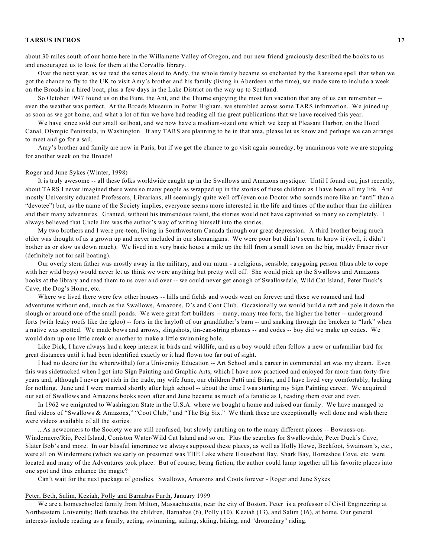about 30 miles south of our home here in the Willamette Valley of Oregon, and our new friend graciously described the books to us and encouraged us to look for them at the Corvallis library.

Over the next year, as we read the series aloud to Andy, the whole family became so enchanted by the Ransome spell that when we got the chance to fly to the UK to visit Amy's brother and his family (living in Aberdeen at the time), we made sure to include a week on the Broads in a hired boat, plus a few days in the Lake District on the way up to Scotland.

So October 1997 found us on the Bure, the Ant, and the Thurne enjoying the most fun vacation that any of us can remember - even the weather was perfect. At the Broads Museum in Potter Higham, we stumbled across some TARS information. We joined up as soon as we got home, and what a lot of fun we have had reading all the great publications that we have received this year.

We have since sold our small sailboat, and we now have a medium-sized one which we keep at Pleasant Harbor, on the Hood Canal, Olympic Peninsula, in Washington. If any TARS are planning to be in that area, please let us know and perhaps we can arrange to meet and go for a sail.

Amy's brother and family are now in Paris, but if we get the chance to go visit again someday, by unanimous vote we are stopping for another week on the Broads!

### Roger and June Sykes (Winter, 1998)

It is truly awesome -- all these folks worldwide caught up in the Swallows and Amazons mystique. Until I found out, just recently, about TARS I never imagined there were so many people as wrapped up in the stories of these children as I have been all my life. And mostly University educated Professors, Librarians, all seemingly quite well off (even one Doctor who sounds more like an "anti" than a "devotee") but, as the name of the Society implies, everyone seems more interested in the life and times of the author than the children and their many adventures. Granted, without his tremendous talent, the stories would not have captivated so many so completely. I always believed that Uncle Jim was the author's way of writing himself into the stories.

My two brothers and I were pre-teen, living in Southwestern Canada through our great depression. A third brother being much older was thought of as a grown up and never included in our shenanigans. We were poor but didn't seem to know it (well, it didn't bother us or slow us down much). We lived in a very basic house a mile up the hill from a small town on the big, muddy Fraser river (definitely not for sail boating).

Our overly stern father was mostly away in the military, and our mum - a religious, sensible, easygoing person (thus able to cope with her wild boys) would never let us think we were anything but pretty well off. She would pick up the Swallows and Amazons books at the library and read them to us over and over -- we could never get enough of Swallowdale, Wild Cat Island, Peter Duck's Cave, the Dog's Home, etc.

Where we lived there were few other houses -- hills and fields and woods went on forever and these we roamed and had adventures without end, much as the Swallows, Amazons, D's and Coot Club. Occasionally we would build a raft and pole it down the slough or around one of the small ponds. We were great fort builders -- many, many tree forts, the higher the better -- underground forts (with leaky roofs like the igloo) -- forts in the hayloft of our grandfather's barn -- and snaking through the bracken to "lurk" when a native was spotted. We made bows and arrows, slingshots, tin-can-string phones -- and codes -- boy did we make up codes. We would dam up one little creek or another to make a little swimming hole.

Like Dick, I have always had a keep interest in birds and wildlife, and as a boy would often follow a new or unfamiliar bird for great distances until it had been identified exactly or it had flown too far out of sight.

I had no desire (or the wherewithal) for a University Education -- Art School and a career in commercial art was my dream. Even this was sidetracked when I got into Sign Painting and Graphic Arts, which I have now practiced and enjoyed for more than forty-five years and, although I never got rich in the trade, my wife June, our children Patti and Brian, and I have lived very comfortably, lacking for nothing. June and I were married shortly after high school -- about the time I was starting my Sign Painting career. We acquired our set of Swallows and Amazons books soon after and June became as much of a fanatic as I, reading them over and over.

In 1962 we emigrated to Washington State in the U.S.A. where we bought a home and raised our family. We have managed to find videos of "Swallows & Amazons," "Coot Club," and "The Big Six." We think these are exceptionally well done and wish there were videos available of all the stories.

...As newcomers to the Society we are still confused, but slowly catching on to the many different places -- Bowness-on-Windermere/Rio, Peel Island, Coniston Water/Wild Cat Island and so on. Plus the searches for Swallowdale, Peter Duck's Cave, Slater Bob's and more. In our blissful ignorance we always supposed these places, as well as Holly Howe, Beckfoot, Swainson's, etc., were all on Windermere (which we early on presumed was THE Lake where Houseboat Bay, Shark Bay, Horseshoe Cove, etc. were located and many of the Adventures took place. But of course, being fiction, the author could lump together all his favorite places into one spot and thus enhance the magic?

Can't wait for the next package of goodies. Swallows, Amazons and Coots forever - Roger and June Sykes

#### Peter, Beth, Salim, Keziah, Polly and Barnabas Furth, January 1999

We are a homeschooled family from Milton, Massachusetts, near the city of Boston. Peter is a professor of Civil Engineering at Northeastern University; Beth teaches the children, Barnabas (6), Polly (10), Keziah (13), and Salim (16), at home. Our general interests include reading as a family, acting, swimming, sailing, skiing, hiking, and "dromedary" riding.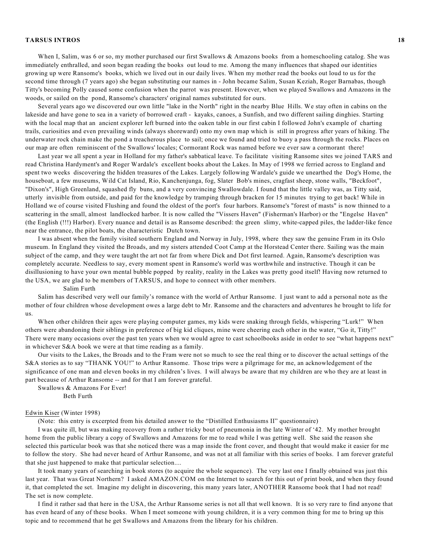When I, Salim, was 6 or so, my mother purchased our first Swallows & Amazons books from a homeschooling catalog. She was immediately enthralled, and soon began reading the books out loud to me. Among the many influences that shaped our identities growing up were Ransome's books, which we lived out in our daily lives. When my mother read the books out loud to us for the second time through (7 years ago) she began substituting our names in - John became Salim, Susan Keziah, Roger Barnabas, though Titty's becoming Polly caused some confusion when the parrot was present. However, when we played Swallows and Amazons in the woods, or sailed on the pond, Ransome's characters' original names substituted for ours.

Several years ago we discovered our own little "lake in the North" right in the nearby Blue Hills. We stay often in cabins on the lakeside and have gone to sea in a variety of borrowed craft - kayaks, canoes, a Sunfish, and two different sailing dinghies. Starting with the local map that an ancient explorer left burned into the oaken table in our first cabin I followed John's example of charting trails, curiosities and even prevailing winds (always shoreward) onto my own map which is still in progress after years of hiking. The underwater rock chain make the pond a treacherous place to sail; once we found and tried to buoy a pass through the rocks. Places on our map are often reminiscent of the Swallows' locales; Cormorant Rock was named before we ever saw a cormorant there!

Last year we all spent a year in Holland for my father's sabbatical leave. To facilitate visiting Ransome sites we joined TARS and read Christina Hardyment's and Roger Wardale's excellent books about the Lakes. In May of 1998 we ferried across to England and spent two weeks discovering the hidden treasures of the Lakes. Largely following Wardale's guide we unearthed the Dog's Home, the houseboat, a few museums, Wild Cat Island, Rio, Kanchenjunga, fog, Slater Bob's mines, cragfast sheep, stone walls, "Beckfoot", "Dixon's", High Greenland, squashed fly buns, and a very convincing Swallowdale. I found that the little valley was, as Titty said, utterly invisible from outside, and paid for the knowledge by tramping through bracken for 15 minutes trying to get back! While in Holland we of course visited Flushing and found the oldest of the port's four harbors. Ransome's "forest of masts" is now thinned to a scattering in the small, almost landlocked harbor. It is now called the "Vissers Haven" (Fisherman's Harbor) or the "Engelse Haven" (the English (!!!) Harbor). Every nuance and detail is as Ransome described: the green slimy, white-capped piles, the ladder-like fence near the entrance, the pilot boats, the characteristic Dutch town.

I was absent when the family visited southern England and Norway in July, 1998, where they saw the genuine Fram in its Oslo museum. In England they visited the Broads, and my sisters attended Coot Camp at the Horstead Center there. Sailing was the main subject of the camp, and they were taught the art not far from where Dick and Dot first learned. Again, Ransome's description was completely accurate. Needless to say, every moment spent in Ransome's world was worthwhile and instructive. Though it can be disillusioning to have your own mental bubble popped by reality, reality in the Lakes was pretty good itself! Having now returned to the USA, we are glad to be members of TARSUS, and hope to connect with other members.

#### Salim Furth

Salim has described very well our family's romance with the world of Arthur Ransome. I just want to add a personal note as the mother of four children whose development owes a large debt to Mr. Ransome and the characters and adventures he brought to life for us.

When other children their ages were playing computer games, my kids were snaking through fields, whispering "Lurk!" When others were abandoning their siblings in preference of big kid cliques, mine were cheering each other in the water, "Go it, Titty!" There were many occasions over the past ten years when we would agree to cast schoolbooks aside in order to see "what happens next" in whichever S&A book we were at that time reading as a family.

Our visits to the Lakes, the Broads and to the Fram were not so much to see the real thing or to discover the actual settings of the S&A stories as to say "THANK YOU!" to Arthur Ransome. Those trips were a pilgrimage for me, an acknowledgement of the significance of one man and eleven books in my children's lives. I will always be aware that my children are who they are at least in part because of Arthur Ransome -- and for that I am forever grateful.

Swallows & Amazons For Ever!

Beth Furth

#### Edwin Kiser (Winter 1998)

(Note: this entry is excerpted from his detailed answer to the "Distilled Enthusiasms II" questionnaire)

I was quite ill, but was making recovery from a rather tricky bout of pneumonia in the late Winter of '42. My mother brought home from the public library a copy of Swallows and Amazons for me to read while I was getting well. She said the reason she selected this particular book was that she noticed there was a map inside the front cover, and thought that would make it easier for me to follow the story. She had never heard of Arthur Ransome, and was not at all familiar with this series of books. I am forever grateful that she just happened to make that particular selection....

It took many years of searching in book stores (to acquire the whole sequence). The very last one I finally obtained was just this last year. That was Great Northern? I asked AMAZON.COM on the Internet to search for this out of print book, and when they found it, that completed the set. Imagine my delight in discovering, this many years later, ANOTHER Ransome book that I had not read! The set is now complete.

I find it rather sad that here in the USA, the Arthur Ransome series is not all that well known. It is so very rare to find anyone that has even heard of any of these books. When I meet someone with young children, it is a very common thing for me to bring up this topic and to recommend that he get Swallows and Amazons from the library for his children.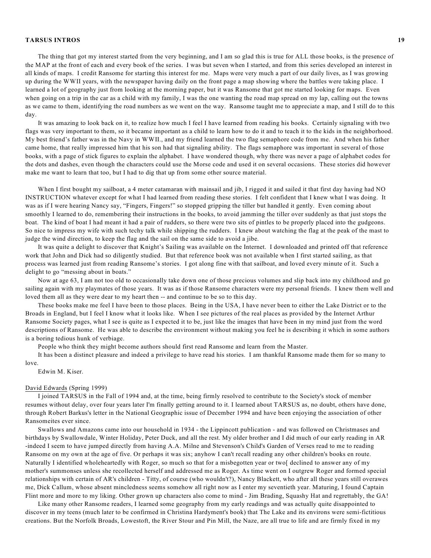The thing that got my interest started from the very beginning, and I am so glad this is true for ALL those books, is the presence of the MAP at the front of each and every book of the series. I was but seven when I started, and from this series developed an interest in all kinds of maps. I credit Ransome for starting this interest for me. Maps were very much a part of our daily lives, as I was growing up during the WWII years, with the newspaper having daily on the front page a map showing where the battles were taking place. I learned a lot of geography just from looking at the morning paper, but it was Ransome that got me started looking for maps. Even when going on a trip in the car as a child with my family, I was the one wanting the road map spread on my lap, calling out the towns as we came to them, identifying the road numbers as we went on the way. Ransome taught me to appreciate a map, and I still do to this day.

It was amazing to look back on it, to realize how much I feel I have learned from reading his books. Certainly signaling with two flags was very important to them, so it became important as a child to learn how to do it and to teach it to the kids in the neighborhood. My best friend's father was in the Navy in WWII., and my friend learned the two flag semaphore code from me. And when his father came home, that really impressed him that his son had that signaling ability. The flags semaphore was important in several of those books, with a page of stick figures to explain the alphabet. I have wondered though, why there was never a page of alphabet codes for the dots and dashes, even though the characters could use the Morse code and used it on several occasions. These stories did however make me want to learn that too, but I had to dig that up from some other source material.

When I first bought my sailboat, a 4 meter catamaran with mainsail and jib, I rigged it and sailed it that first day having had NO INSTRUCTION whatever except for what I had learned from reading these stories. I felt confident that I knew what I was doing. It was as if I were hearing Nancy say, "Fingers, Fingers!" so stopped gripping the tiller but handled it gently. Even coming about smoothly I learned to do, remembering their instructions in the books, to avoid jamming the tiller over suddenly as that just stops the boat. The kind of boat I had meant it had a pair of rudders, so there were two sits of pintles to be properly placed into the gudgeons. So nice to impress my wife with such techy talk while shipping the rudders. I knew about watching the flag at the peak of the mast to judge the wind direction, to keep the flag and the sail on the same side to avoid a jibe.

It was quite a delight to discover that Knight's Sailing was available on the Internet. I downloaded and printed off that reference work that John and Dick had so diligently studied. But that reference book was not available when I first started sailing, as that process was learned just from reading Ransome's stories. I got along fine with that sailboat, and loved every minute of it. Such a delight to go "messing about in boats."

Now at age 63, I am not too old to occasionally take down one of those precious volumes and slip back into my childhood and go sailing again with my playmates of those years. It was as if those Ransome characters were my personal friends. I knew them well and loved them all as they were dear to my heart then -- and continue to be so to this day.

These books make me feel I have been to those places. Being in the USA, I have never been to either the Lake District or to the Broads in England, but I feel I know what it looks like. When I see pictures of the real places as provided by the Internet Arthur Ransome Society pages, what I see is quite as I expected it to be, just like the images that have been in my mind just from the word descriptions of Ransome. He was able to describe the environment without making you feel he is describing it which in some authors is a boring tedious hunk of verbiage.

People who think they might become authors should first read Ransome and learn from the Master.

It has been a distinct pleasure and indeed a privilege to have read his stories. I am thankful Ransome made them for so many to love.

Edwin M. Kiser.

#### David Edwards (Spring 1999)

I joined TARSUS in the Fall of 1994 and, at the time, being firmly resolved to contribute to the Society's stock of member resumes without delay, over four years later I'm finally getting around to it. I learned about TARSUS as, no doubt, others have done, through Robert Barkus's letter in the National Geographic issue of December 1994 and have been enjoying the association of other Ransomeites ever since.

Swallows and Amazons came into our household in 1934 - the Lippincott publication - and was followed on Christmases and birthdays by Swallowdale, Winter Holiday, Peter Duck, and all the rest. My older brother and I did much of our early reading in AR -indeed I seem to have jumped directly from having A.A. Milne and Stevenson's Child's Garden of Verses read to me to reading Ransome on my own at the age of five. Or perhaps it was six; anyhow I can't recall reading any other children's books en route. Naturally I identified wholeheartedly with Roger, so much so that for a misbegotten year or two[ declined to answer any of my mother's summonses unless she recollected herself and addressed me as Roger. As time went on I outgrew Roger and formed special relationships with certain of AR's children - Titty, of course (who wouldn't?), Nancy Blackett, who after all these years still overawes me, Dick Callum, whose absent mincledness seems somehow all right now as I enter my seventieth year. Maturing, I found Captain Flint more and more to my liking. Other grown up characters also come to mind - Jim Brading, Squashy Hat and regrettably, the GA!

Like many other Ransome readers, I learned some geography from my early readings and was actually quite disappointed to discover in my teens (much later to be confirmed in Christina Hardyment's book) that The Lake and its environs were semi-fictitious creations. But the Norfolk Broads, Lowestoft, the River Stour and Pin Mill, the Naze, are all true to life and are firmly fixed in my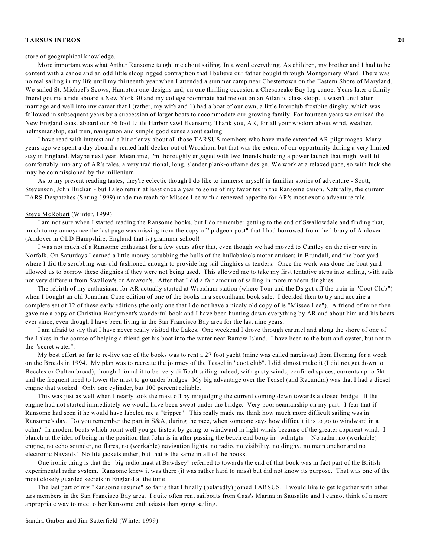#### store of geographical knowledge.

More important was what Arthur Ransome taught me about sailing. In a word everything. As children, my brother and I had to be content with a canoe and an odd little sloop rigged contraption that I believe our father bought through Montgomery Ward. There was no real sailing in my life until my thirteenth year when I attended a summer camp near Chestertown on the Eastern Shore of Maryland. We sailed St. Michael's Scows, Hampton one-designs and, on one thrilling occasion a Chesapeake Bay log canoe. Years later a family friend got me a ride aboard a New York 30 and my college roommate had me out on an Atlantic class sloop. It wasn't until after marriage and well into my career that I (rather, my wife and 1) had a boat of our own, a little Interclub frostbite dinghy, which was followed in subsequent years by a succession of larger boats to accommodate our growing family. For fourteen years we cruised the New England coast aboard our 36 foot Little Harbor yawl Evensong. Thank you, AR, for all your wisdom about wind, weather, helmsmanship, sail trim, navigation and simple good sense about sailing.

I have read with interest and a bit of envy about all those TARSUS members who have made extended AR pilgrimages. Many years ago we spent a day aboard a rented half-decker out of Wroxharn but that was the extent of our opportunity during a very limited stay in England. Maybe next year. Meantime, I'm thoroughly engaged with two friends building a power launch that might well fit comfortably into any of AR's tales, a very traditional, long, slender plank-onframe design. We work at a relaxed pace, so with luck she may be commissioned by the millenium.

As to my present reading tastes, they're eclectic though I do like to immerse myself in familiar stories of adventure - Scott, Stevenson, John Buchan - but I also return at least once a year to some of my favorites in the Ransome canon. Naturally, the current TARS Despatches (Spring 1999) made me reach for Missee Lee with a renewed appetite for AR's most exotic adventure tale.

### Steve McRobert (Winter, 1999)

I am not sure when I started reading the Ransome books, but I do remember getting to the end of Swallowdale and finding that, much to my annoyance the last page was missing from the copy of "pidgeon post" that I had borrowed from the library of Andover (Andover in OLD Hampshire, England that is) grammar school!

I was not much of a Ransome enthusiast for a few years after that, even though we had moved to Cantley on the river yare in Norfolk. On Saturdays I earned a little money scrubbing the hulls of the hullabaloo's motor cruisers in Brundall, and the boat yard where I did the scrubbing was old-fashioned enough to provide lug sail dinghies as tenders. Once the work was done the boat yard allowed us to borrow these dinghies if they were not being used. This allowed me to take my first tentative steps into sailing, with sails not very different from Swallow's or Amazon's. After that I did a fair amount of sailing in more modern dinghies.

The rebirth of my enthusiasm for AR actually started at Wroxham station (where Tom and the Ds got off the train in "Coot Club") when I bought an old Jonathan Cape edition of one of the books in a secondhand book sale. I decided then to try and acquire a complete set of 12 of these early editions (the only one that I do not have a nicely old copy of is "Missee Lee"). A friend of mine then gave me a copy of Christina Hardyment's wonderful book and I have been hunting down everything by AR and about him and his boats ever since, even though I have been living in the San Francisco Bay area for the last nine years.

I am afraid to say that I have never really visited the Lakes. One weekend I drove through cartmel and along the shore of one of the Lakes in the course of helping a friend get his boat into the water near Barrow Island. I have been to the butt and oyster, but not to the "secret water".

My best effort so far to re-live one of the books was to rent a 27 foot yacht (mine was called narcissus) from Horning for a week on the Broads in 1994. My plan was to recreate the journey of the Teasel in "coot club". I did almost make it (I did not get down to Beccles or Oulton broad), though I found it to be very difficult sailing indeed, with gusty winds, confined spaces, currents up to 5kt and the frequent need to lower the mast to go under bridges. My big advantage over the Teasel (and Racundra) was that I had a diesel engine that worked. Only one cylinder, but 100 percent reliable.

This was just as well when I nearly took the mast off by misjudging the current coming down towards a closed bridge. If the engine had not started immediately we would have been swept under the bridge. Very poor seamanship on my part. I fear that if Ransome had seen it he would have labeled me a "tripper". This really made me think how much more difficult sailing was in Ransome's day. Do you remember the part in S&A, during the race, when someone says how difficult it is to go to windward in a calm? In modern boats which point well you go fastest by going to windward in light winds because of the greater apparent wind. I blanch at the idea of being in the position that John is in after passing the beach end bouy in "wdmtgts". No radar, no (workable) engine, no echo sounder, no flares, no (workable) navigation lights, no radio, no visibility, no dinghy, no main anchor and no electronic Navaids! No life jackets either, but that is the same in all of the books.

One ironic thing is that the "big radio mast at Bawdsey" referred to towards the end of that book was in fact part of the British experimental radar system. Ransome knew it was there (it was rather hard to miss) but did not know its purpose. That was one of the most closely guarded secrets in England at the time

The last part of my "Ransome resume" so far is that I finally (belatedly) joined TARSUS. I would like to get together with other tars members in the San Francisco Bay area. I quite often rent sailboats from Cass's Marina in Sausalito and I cannot think of a more appropriate way to meet other Ransome enthusiasts than going sailing.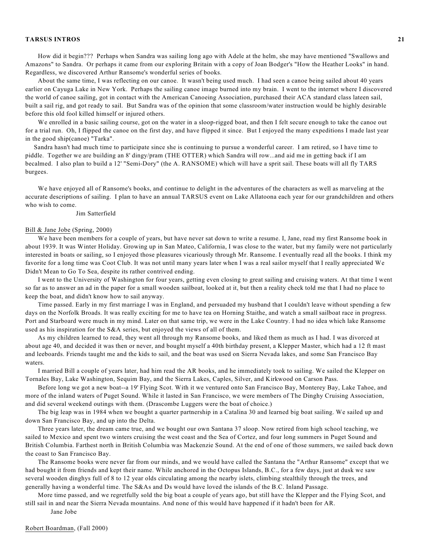How did it begin??? Perhaps when Sandra was sailing long ago with Adele at the helm, she may have mentioned "Swallows and Amazons" to Sandra. Or perhaps it came from our exploring Britain with a copy of Joan Bodger's "How the Heather Looks" in hand. Regardless, we discovered Arthur Ransome's wonderful series of books.

About the same time, I was reflecting on our canoe. It wasn't being used much. I had seen a canoe being sailed about 40 years earlier on Cayuga Lake in New York. Perhaps the sailing canoe image burned into my brain. I went to the internet where I discovered the world of canoe sailing, got in contact with the American Canoeing Association, purchased their ACA standard class lateen sail, built a sail rig, and got ready to sail. But Sandra was of the opinion that some classroom/water instruction would be highly desirable before this old fool killed himself or injured others.

We enrolled in a basic sailing course, got on the water in a sloop-rigged boat, and then I felt secure enough to take the canoe out for a trial run. Oh, I flipped the canoe on the first day, and have flipped it since. But I enjoyed the many expeditions I made last year in the good ship(canoe) "Tarka".

Sandra hasn't had much time to participate since she is continuing to pursue a wonderful career. I am retired, so I have time to piddle. Together we are building an 8' dingy/pram (THE OTTER) which Sandra will row...and aid me in getting back if I am becalmed. I also plan to build a 12' "Semi-Dory" (the A. RANSOME) which will have a sprit sail. These boats will all fly TARS burgees.

We have enjoyed all of Ransome's books, and continue to delight in the adventures of the characters as well as marveling at the accurate descriptions of sailing. I plan to have an annual TARSUS event on Lake Allatoona each year for our grandchildren and others who wish to come.

### Jim Satterfield

#### Bill & Jane Jobe (Spring, 2000)

We have been members for a couple of years, but have never sat down to write a resume. I, Jane, read my first Ransome book in about 1939. It was Winter Holiday. Growing up in San Mateo, California, I was close to the water, but my family were not particularly interested in boats or sailing, so I enjoyed those pleasures vicariously through Mr. Ransome. I eventually read all the books. I think my favorite for a long time was Coot Club. It was not until many years later when I was a real sailor myself that I really appreciated We Didn't Mean to Go To Sea, despite its rather contrived ending.

I went to the University of Washington for four years, getting even closing to great sailing and cruising waters. At that time I went so far as to answer an ad in the paper for a small wooden sailboat, looked at it, but then a reality check told me that I had no place to keep the boat, and didn't know how to sail anyway.

Time passed. Early in my first marriage I was in England, and persuaded my husband that I couldn't leave without spending a few days on the Norfolk Broads. It was really exciting for me to have tea on Horning Staithe, and watch a small sailboat race in progress. Port and Starboard were much in my mind. Later on that same trip, we were in the Lake Country. I had no idea which lake Ransome used as his inspiration for the S&A series, but enjoyed the views of all of them.

As my children learned to read, they went all through my Ransome books, and liked them as much as I had. I was divorced at about age 40, and decided it was then or never, and bought myself a 40th birthday present, a Klepper Master, which had a 12 ft mast and leeboards. Friends taught me and the kids to sail, and the boat was used on Sierra Nevada lakes, and some San Francisco Bay waters.

I married Bill a couple of years later, had him read the AR books, and he immediately took to sailing. We sailed the Klepper on Tornales Bay, Lake Washington, Sequim Bay, and the Sierra Lakes, Caples, Silver, and Kirkwood on Carson Pass.

Before long we got a new boat--a 19' Flying Scot. With it we ventured onto San Francisco Bay, Monterey Bay, Lake Tahoe, and more of the inland waters of Puget Sound. While it lasted in San Francisco, we were members of The Dinghy Cruising Association, and did several weekend outings with them. (Drascombe Luggers were the boat of choice.)

The big leap was in 1984 when we bought a quarter partnership in a Catalina 30 and learned big boat sailing. We sailed up and down San Francisco Bay, and up into the Delta.

Three years later, the dream came true, and we bought our own Santana 37 sloop. Now retired from high school teaching, we sailed to Mexico and spent two winters cruising the west coast and the Sea of Cortez, and four long summers in Puget Sound and British Columbia. Farthest north in British Columbia was Mackenzie Sound. At the end of one of those summers, we sailed back down the coast to San Francisco Bay.

The Ransome books were never far from our minds, and we would have called the Santana the "Arthur Ransome" except that we had bought it from friends and kept their name. While anchored in the Octopus Islands, B.C., for a few days, just at dusk we saw several wooden dinghys full of 8 to 12 year olds circulating among the nearby islets, climbing stealthily through the trees, and generally having a wonderful time. The S&As and Ds would have loved the islands of the B.C. Inland Passage.

More time passed, and we regretfully sold the big boat a couple of years ago, but still have the Klepper and the Flying Scot, and still sail in and near the Sierra Nevada mountains. And none of this would have happened if it hadn't been for AR.

Jane Jobe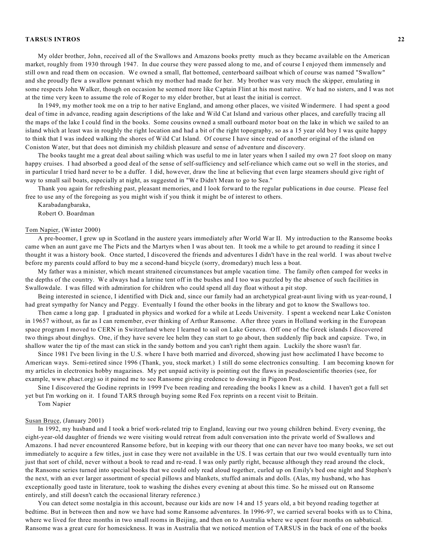My older brother, John, received all of the Swallows and Amazons books pretty much as they became available on the American market, roughly from 1930 through 1947. In due course they were passed along to me, and of course I enjoyed them immensely and still own and read them on occasion. We owned a small, flat bottomed, centerboard sailboat which of course was named "Swallow" and she proudly flew a swallow pennant which my mother had made for her. My brother was very much the skipper, emulating in some respects John Walker, though on occasion he seemed more like Captain Flint at his most native. We had no sisters, and I was not at the time very keen to assume the role of Roger to my elder brother, but at least the initial is correct.

In 1949, my mother took me on a trip to her native England, and among other places, we visited Windermere. I had spent a good deal of time in advance, reading again descriptions of the lake and Wild Cat Island and various other places, and carefully tracing all the maps of the lake I could find in the books. Some cousins owned a small outboard motor boat on the lake in which we sailed to an island which at least was in roughly the right location and had a bit of the right topography, so as a 15 year old boy I was quite happy to think that I was indeed walking the shores of Wild Cat Island. Of course I have since read of another original of the island on Coniston Water, but that does not diminish my childish pleasure and sense of adventure and discovery.

The books taught me a great deal about sailing which was useful to me in later years when I sailed my own 27 foot sloop on many happy cruises. I had absorbed a good deal of the sense of self-sufficiency and self-reliance which came out so well in the stories, and in particular I tried hard never to be a duffer. I did, however, draw the line at believing that even large steamers should give right of way to small sail boats, especially at night, as suggested in "We Didn't Mean to go to Sea."

Thank you again for refreshing past, pleasant memories, and I look forward to the regular publications in due course. Please feel free to use any of the foregoing as you might wish if you think it might be of interest to others.

Karabadangbaraka,

Robert O. Boardman

### Tom Napier, (Winter 2000)

A pre-boomer, I grew up in Scotland in the austere years immediately after World War II. My introduction to the Ransome books came when an aunt gave me The Picts and the Martyrs when I was about ten. It took me a while to get around to reading it since I thought it was a history book. Once started, I discovered the friends and adventures I didn't have in the real world. I was about twelve before my parents could afford to buy me a second-hand bicycle (sorry, dromedary) much less a boat.

My father was a minister, which meant straitened circumstances but ample vacation time. The family often camped for weeks in the depths of the country. We always had a latrine tent off in the bushes and I too was puzzled by the absence of such facilities in Swallowdale. I was filled with admiration for children who could spend all day float without a pit stop.

Being interested in science, I identified with Dick and, since our family had an archetypical great-aunt living with us year-round, I had great sympathy for Nancy and Peggy. Eventually I found the other books in the library and got to know the Swallows too.

Then came a long gap. I graduated in physics and worked for a while at Leeds University. I spent a weekend near Lake Coniston in 19657 without, as far as I can remember, ever thinking of Arthur Ransome. After three years in Holland working in the European space program I moved to CERN in Switzerland where I learned to sail on Lake Geneva. Off one of the Greek islands I discovered two things about dinghys. One, if they have severe lee helm they can start to go about, then suddenly flip back and capsize. Two, in shallow water the tip of the mast can stick in the sandy bottom and you can't right them again. Luckily the shore wasn't far.

Since 1981 I've been living in the U.S. where I have both married and divorced, showing just how acclimated I have become to American ways. Semi-retired since 1996 (Thank, you, stock market.) I still do some electronics consulting. I am becoming known for my articles in electronics hobby magazines. My pet unpaid activity is pointing out the flaws in pseudoscientific theories (see, for example, www.phact.org) so it pained me to see Ransome giving credence to dowsing in Pigeon Post.

Sine I discovered the Godine reprints in 1999 I've been reading and rereading the books I knew as a child. I haven't got a full set yet but I'm working on it. I found TARS through buying some Red Fox reprints on a recent visit to Britain.

Tom Napier

# Susan Bruce, (January 2001)

In 1992, my husband and I took a brief work-related trip to England, leaving our two young children behind. Every evening, the eight-year-old daughter of friends we were visiting would retreat from adult conversation into the private world of Swallows and Amazons. I had never encountered Ransome before, but in keeping with our theory that one can never have too many books, we set out immediately to acquire a few titles, just in case they were not available in the US. I was certain that our two would eventually turn into just that sort of child, never without a book to read and re-read. I was only partly right, because although they read around the clock, the Ransome series turned into special books that we could only read aloud together, curled up on Emily's bed one night and Stephen's the next, with an ever larger assortment of special pillows and blankets, stuffed animals and dolls. (Alas, my husband, who has exceptionally good taste in literature, took to washing the dishes every evening at about this time. So he missed out on Ransome entirely, and still doesn't catch the occasional literary reference.)

You can detect some nostalgia in this account, because our kids are now 14 and 15 years old, a bit beyond reading together at bedtime. But in between then and now we have had some Ransome adventures. In 1996-97, we carried several books with us to China, where we lived for three months in two small rooms in Beijing, and then on to Australia where we spent four months on sabbatical. Ransome was a great cure for homesickness. It was in Australia that we noticed mention of TARSUS in the back of one of the books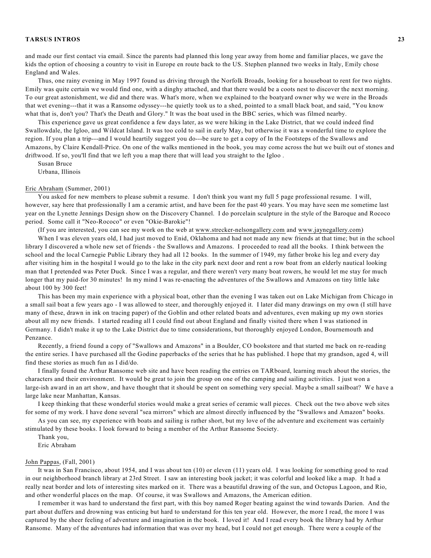and made our first contact via email. Since the parents had planned this long year away from home and familiar places, we gave the kids the option of choosing a country to visit in Europe en route back to the US. Stephen planned two weeks in Italy, Emily chose England and Wales.

Thus, one rainy evening in May 1997 found us driving through the Norfolk Broads, looking for a houseboat to rent for two nights. Emily was quite certain we would find one, with a dinghy attached, and that there would be a coots nest to discover the next morning. To our great astonishment, we did and there was. What's more, when we explained to the boatyard owner why we were in the Broads that wet evening---that it was a Ransome odyssey---he quietly took us to a shed, pointed to a small black boat, and said, "You know what that is, don't you? That's the Death and Glory." It was the boat used in the BBC series, which was filmed nearby.

This experience gave us great confidence a few days later, as we were hiking in the Lake District, that we could indeed find Swallowdale, the Igloo, and Wildcat Island. It was too cold to sail in early May, but otherwise it was a wonderful time to explore the region. If you plan a trip---and I would heartily suggest you do---be sure to get a copy of In the Footsteps of the Swallows and Amazons, by Claire Kendall-Price. On one of the walks mentioned in the book, you may come across the hut we built out of stones and driftwood. If so, you'll find that we left you a map there that will lead you straight to the Igloo .

Susan Bruce Urbana, Illinois

# Eric Abraham (Summer, 2001)

You asked for new members to please submit a resume. I don't think you want my full 5 page professional resume. I will, however, say here that professionally I am a ceramic artist, and have been for the past 40 years. You may have seen me sometime last year on the Lynette Jennings Design show on the Discovery Channel. I do porcelain sculpture in the style of the Baroque and Rococo period. Some call it "Neo-Rococo" or even "Okie-Barokie"!

(If you are interested, you can see my work on the web at www.strecker-nelsongallery.com and www.jaynegallery.com)

When I was eleven years old, I had just moved to Enid, Oklahoma and had not made any new friends at that time; but in the school library I discovered a whole new set of friends - the Swallows and Amazons. I proceeded to read all the books. I think between the school and the local Carnegie Public Library they had all 12 books. In the summer of 1949, my father broke his leg and every day after visiting him in the hospital I would go to the lake in the city park next door and rent a row boat from an elderly nautical looking man that I pretended was Peter Duck. Since I was a regular, and there weren't very many boat rowers, he would let me stay for much longer that my paid-for 30 minutes! In my mind I was re-enacting the adventures of the Swallows and Amazons on tiny little lake about 100 by 300 feet!

This has been my main experience with a physical boat, other than the evening I was taken out on Lake Michigan from Chicago in a small sail boat a few years ago - I was allowed to steer, and thoroughly enjoyed it. I later did many drawings on my own (I still have many of these, drawn in ink on tracing paper) of the Goblin and other related boats and adventures, even making up my own stories about all my new friends. I started reading all I could find out about England and finally visited there when I was stationed in Germany. I didn't make it up to the Lake District due to time considerations, but thoroughly enjoyed London, Bournemouth and Penzance.

Recently, a friend found a copy of "Swallows and Amazons" in a Boulder, CO bookstore and that started me back on re-reading the entire series. I have purchased all the Godine paperbacks of the series that he has published. I hope that my grandson, aged 4, will find these stories as much fun as I did/do.

I finally found the Arthur Ransome web site and have been reading the entries on TARboard, learning much about the stories, the characters and their environment. It would be great to join the group on one of the camping and sailing activities. I just won a large-ish award in an art show, and have thought that it should be spent on something very special. Maybe a small sailboat? We have a large lake near Manhattan, Kansas.

I keep thinking that these wonderful stories would make a great series of ceramic wall pieces. Check out the two above web sites for some of my work. I have done several "sea mirrors" which are almost directly influenced by the "Swallows and Amazon" books.

As you can see, my experience with boats and sailing is rather short, but my love of the adventure and excitement was certainly stimulated by these books. I look forward to being a member of the Arthur Ransome Society.

Thank you,

Eric Abraham

### John Pappas, (Fall, 2001)

It was in San Francisco, about 1954, and I was about ten (10) or eleven (11) years old. I was looking for something good to read in our neighborhood branch library at 23rd Street. I saw an interesting book jacket; it was colorful and looked like a map. It had a really neat border and lots of interesting sites marked on it. There was a beautiful drawing of the sun, and Octopus Lagoon, and Rio, and other wonderful places on the map. Of course, it was Swallows and Amazons, the American edition.

I remember it was hard to understand the first part, with this boy named Roger beating against the wind towards Darien. And the part about duffers and drowning was enticing but hard to understand for this ten year old. However, the more I read, the more I was captured by the sheer feeling of adventure and imagination in the book. I loved it! And I read every book the library had by Arthur Ransome. Many of the adventures had information that was over my head, but I could not get enough. There were a couple of the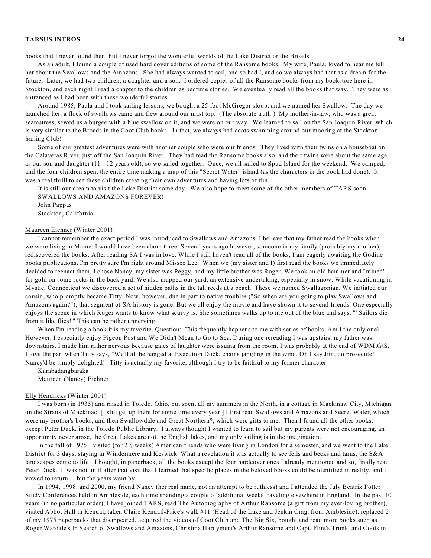books that I never found then, but I never forgot the wonderful worlds of the Lake District or the Broads.

As an adult, I found a couple of used hard cover editions of some of the Ransome books. My wife, Paula, loved to hear me tell her about the Swallows and the Amazons. She had always wanted to sail, and so had I, and so we always had that as a dream for the future. Later, we had two children, a daughter and a son. I ordered copies of all the Ransome books from my bookstore here in Stockton, and each night I read a chapter to the children as bedtime stories. We eventually read all the books that way. They were as entranced as I had been with these wonderful stories.

Around 1985, Paula and I took sailing lessons, we bought a 25 foot McGregor sloop, and we named her Swallow. The day we launched her, a flock of swallows came and flew around our mast top. (The absolute truth!) My mother-in-law, who was a great seamstress, sewed us a burgee with a blue swallow on it, and we were on our way. We learned to sail on the San Joaquin River, which is very similar to the Broads in the Coot Club books. In fact, we always had coots swimming around our mooring at the Stockton Sailing Club!

Some of our greatest adventures were with another couple who were our friends. They lived with their twins on a houseboat on the Calaveras River, just off the San Joaquin River. They had read the Ransome books also, and their twins were about the same age as our son and daughter (11 - 12 years old), so we sailed together. Once, we all sailed to Spud Island for the weekend. We camped, and the four children spent the entire time making a map of this "Secret Water" island (as the characters in the book had done). It was a real thrill to see these children creating their own adventures and having lots of fun.

It is still our dream to visit the Lake District some day. We also hope to meet some of the other members of TARS soon. SWALLOWS AND AMAZONS FOREVER!

John Pappas Stockton, California

# Maureen Eichner (Winter 2001)

I cannot remember the exact period I was introduced to Swallows and Amazons. I believe that my father read the books when we were living in Maine. I would have been about three. Several years ago however, someone in my family (probably my mother), rediscovered the books. After reading SA I was in love. While I still haven't read all of the books, I am eagerly awaiting the Godine books publications. I'm pretty sure I'm right around Missee Lee. When we (my sister and I) first read the books we immediately decided to reenact them. I chose Nancy, my sister was Peggy, and my little brother was Roger. We took an old hammer and "mined" for gold on some rocks in the back yard. We also mapped our yard, an extensive undertaking, especially in snow. While vacationing in Mystic, Connecticut we discovered a set of hidden paths in the tall reeds at a beach. These we named Swallagonian. We initiated our cousin, who promptly became Titty. Now, however, due in part to native troubles ("So when are you going to play Swallows and Amazons again?"), that segment of SA history is gone. But we all enjoy the movie and have shown it to several friends. One especially enjoys the scene in which Roger wants to know what scurvy is. She sometimes walks up to me out of the blue and says, "' Sailors die from it like flies!'" This can be rather unnerving.

When I'm reading a book it is my favorite. Question: This frequently happens to me with series of books. Am I the only one? However, I especially enjoy Pigeon Post and We Didn't Mean to Go to Sea. During one rereading I was upstairs, my father was downstairs. I made him rather nervous because gales of laughter were issuing from the room. I was probably at the end of WDMtGtS. I love the part when Titty says, "We'll all be hanged at Execution Dock, chains jangling in the wind. Oh I say Jim, do prosecute! Nancy'd be simply delighted!" Titty is actually my favorite, although I try to be faithful to my former character.

Karabadangbaraka

Maureen (Nancy) Eichner

# Elly Hendricks (Winter 2001)

I was born (in 1935) and raised in Toledo, Ohio, but spent all my summers in the North, in a cottage in Mackinaw City, Michigan, on the Straits of Mackinac. [I still get up there for some time every year.] I first read Swallows and Amazons and Secret Water, which were my brother's books, and then Swallowdale and Great Northern?, which were gifts to me. Then I found all the other books, except Peter Duck, in the Toledo Public Library. I always thought I wanted to learn to sail but my parents were not encouraging, an opportunity never arose, the Great Lakes are not the English lakes, and my only sailing is in the imagination.

In the fall of 1975 I visited (for 2½ weeks) American friends who were living in London for a semester, and we went to the Lake District for 3 days, staying in Windermere and Keswick. What a revelation it was actually to see fells and becks and tarns, the S&A landscapes come to life! I bought, in paperback, all the books except the four hardcover ones I already mentioned and so, finally read Peter Duck. It was not until after that visit that I learned that specific places in the beloved books could be identified in reality, and I vowed to return.....but the years went by.

In 1994, 1998, and 2000, my friend Nancy (her real name, not an attempt to be ruthless) and I attended the July Beatrix Potter Study Conferences held in Ambleside, each time spending a couple of additional weeks traveling elsewhere in England. In the past 10 years (in no particular order), I have joined TARS, read The Autobiography of Arthur Ransome (a gift from my ever-loving brother), visited Abbot Hall in Kendal, taken Claire Kendall-Price's walk #11 (Head of the Lake and Jenkin Crag, from Ambleside), replaced 2 of my 1975 paperbacks that disappeared, acquired the videos of Coot Club and The Big Six, bought and read more books such as Roger Wardale's In Search of Swallows and Amazons, Christina Hardyment's Arthur Ransome and Capt. Flint's Trunk, and Coots in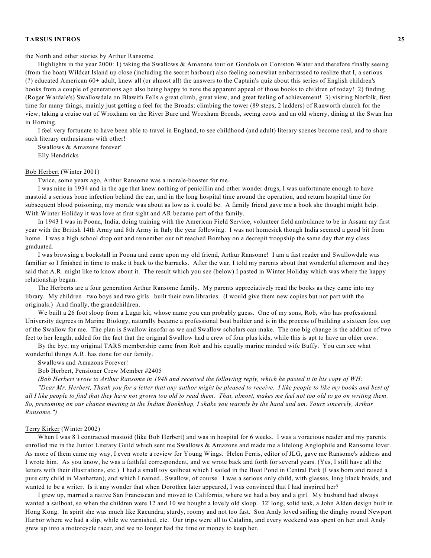the North and other stories by Arthur Ransome.

Highlights in the year 2000: 1) taking the Swallows & Amazons tour on Gondola on Coniston Water and therefore finally seeing (from the boat) Wildcat Island up close (including the secret harbour) also feeling somewhat embarrassed to realize that I, a serious (?) educated American 60+ adult, knew all (or almost all) the answers to the Captain's quiz about this series of English children's books from a couple of generations ago also being happy to note the apparent appeal of those books to children of today! 2) finding (Roger Wardale's) Swallowdale on Blawith Fells a great climb, great view, and great feeling of achievement! 3) visiting Norfolk, first time for many things, mainly just getting a feel for the Broads: climbing the tower (89 steps, 2 ladders) of Ranworth church for the view, taking a cruise out of Wroxham on the River Bure and Wroxham Broads, seeing coots and an old wherry, dining at the Swan Inn in Horning.

I feel very fortunate to have been able to travel in England, to see childhood (and adult) literary scenes become real, and to share such literary enthusiasms with other!

Swallows & Amazons forever!

Elly Hendricks

#### Bob Herbert (Winter 2001)

Twice, some years ago, Arthur Ransome was a morale-booster for me.

I was nine in 1934 and in the age that knew nothing of penicillin and other wonder drugs, I was unfortunate enough to have mastoid a serious bone infection behind the ear, and in the long hospital time around the operation, and return hospital time for subsequent blood poisoning, my morale was about as low as it could be. A family friend gave me a book she thought might help. With Winter Holiday it was love at first sight and AR became part of the family.

In 1943 I was in Poona, India, doing training with the American Field Service, volunteer field ambulance to be in Assam my first year with the British 14th Army and 8th Army in Italy the year following. I was not homesick though India seemed a good bit from home. I was a high school drop out and remember our nit reached Bombay on a decrepit troopship the same day that my class graduated.

I was browsing a bookstall in Poona and came upon my old friend, Arthur Ransome! I am a fast reader and Swallowdale was familiar so I finished in time to make it back to the barracks. After the war, I told my parents about that wonderful afternoon and they said that A.R. might like to know about it. The result which you see (below) I pasted in Winter Holiday which was where the happy relationship began.

The Herberts are a four generation Arthur Ransome family. My parents appreciatively read the books as they came into my library. My children two boys and two girls built their own libraries. (I would give them new copies but not part with the originals.) And finally, the grandchildren.

We built a 26 foot sloop from a Lugar kit, whose name you can probably guess. One of my sons, Rob, who has professional University degrees in Marine Biology, naturally became a professional boat builder and is in the process of building a sixteen foot cop of the Swallow for me. The plan is Swallow insofar as we and Swallow scholars can make. The one big change is the addition of two feet to her length, added for the fact that the original Swallow had a crew of four plus kids, while this is apt to have an older crew.

By the bye, my original TARS membership came from Rob and his equally marine minded wife Buffy. You can see what wonderful things A.R. has done for our family.

Swallows and Amazons Forever!

Bob Herbert, Pensioner Crew Member #2405

(Bob Herbert wrote to Arthur Ransome in 1948 and received the following reply, which he pasted it in his copy of WH:

"Dear Mr. Herbert, Thank you for a letter that any author might be pleased to receive. I like people to like my books and best of all I like people to find that they have not grown too old to read them. That, almost, makes me feel not too old to go on writing them. So, presuming on our chance meeting in the Indian Bookshop, I shake you warmly by the hand and am, Yours sincerely, Arthur *Ransome.")*

# Terry Kirker (Winter 2002)

When I was 8 I contracted mastoid (like Bob Herbert) and was in hospital for 6 weeks. I was a voracious reader and my parents enrolled me in the Junior Literary Guild which sent me Swallows & Amazons and made me a lifelong Anglophile and Ransome lover. As more of them came my way, I even wrote a review for Young Wings. Helen Ferris, editor of JLG, gave me Ransome's address and I wrote him. As you know, he was a faithful correspondent, and we wrote back and forth for several years. (Yes, I still have all the letters with their illustrations, etc.) I had a small toy sailboat which I sailed in the Boat Pond in Central Park (I was born and raised a pure city child in Manhattan), and which I named...Swallow, of course. I was a serious only child, with glasses, long black braids, and wanted to be a writer. Is it any wonder that when Dorothea later appeared, I was convinced that I had inspired her?

I grew up, married a native San Franciscan and moved to California, where we had a boy and a girl. My husband had always wanted a sailboat, so when the children were 12 and 10 we bought a lovely old sloop. 32' long, solid teak, a John Alden design built in Hong Kong. In spirit she was much like Racundra; sturdy, roomy and not too fast. Son Andy loved sailing the dinghy round Newport Harbor where we had a slip, while we varnished, etc. Our trips were all to Catalina, and every weekend was spent on her until Andy grew up into a motorcycle racer, and we no longer had the time or money to keep her.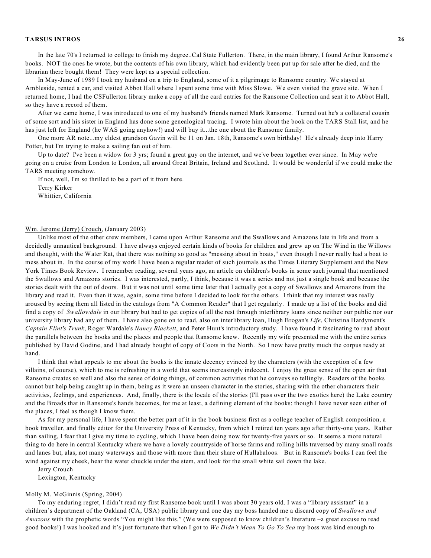In the late 70's I returned to college to finish my degree..Cal State Fullerton. There, in the main library, I found Arthur Ransome's books. NOT the ones he wrote, but the contents of his own library, which had evidently been put up for sale after he died, and the librarian there bought them! They were kept as a special collection.

In May-June of 1989 I took my husband on a trip to England, some of it a pilgrimage to Ransome country. We stayed at Ambleside, rented a car, and visited Abbot Hall where I spent some time with Miss Slowe. We even visited the grave site. When I returned home, I had the CSFullerton library make a copy of all the card entries for the Ransome Collection and sent it to Abbot Hall, so they have a record of them.

After we came home, I was introduced to one of my husband's friends named Mark Ransome. Turned out he's a collateral cousin of some sort and his sister in England has done some genealogical tracing. I wrote him about the book on the TARS Stall list, and he has just left for England (he WAS going anyhow!) and will buy it...the one about the Ransome family.

One more AR note...my eldest grandson Gavin will be 11 on Jan. 18th, Ransome's own birthday! He's already deep into Harry Potter, but I'm trying to make a sailing fan out of him.

Up to date? I've been a widow for 3 yrs; found a great guy on the internet, and we've been together ever since. In May we're going on a cruise from London to London, all around Great Britain, Ireland and Scotland. It would be wonderful if we could make the TARS meeting somehow.

If not, well, I'm so thrilled to be a part of it from here.

Terry Kirker

Whittier, California

# Wm. Jerome (Jerry) Crouch, (January 2003)

Unlike most of the other crew members, I came upon Arthur Ransome and the Swallows and Amazons late in life and from a decidedly unnautical background. I have always enjoyed certain kinds of books for children and grew up on The Wind in the Willows and thought, with the Water Rat, that there was nothing so good as "messing about in boats," even though I never really had a boat to mess about in. In the course of my work I have been a regular reader of such journals as the Times Literary Supplement and the New York Times Book Review. I remember reading, several years ago, an article on children's books in some such journal that mentioned the Swallows and Amazons stories. I was interested, partly, I think, because it was a series and not just a single book and because the stories dealt with the out of doors. But it was not until some time later that I actually got a copy of Swallows and Amazons from the library and read it. Even then it was, again, some time before I decided to look for the others. I think that my interest was really aroused by seeing them all listed in the catalogs from "A Common Reader" that I get regularly. I made up a list of the books and did find a copy of *Swallowdale* in our library but had to get copies of all the rest through interlibrary loans since neither our public nor our university library had any of them. I have also gone on to read, also on interlibrary loan, Hugh Brogan's *Life*, Christina Hardyment's *Captain Flint's Trunk*, Roger Wardale's *Nancy Blackett*, and Peter Hunt's introductory study. I have found it fascinating to read about the parallels between the books and the places and people that Ransome knew. Recently my wife presented me with the entire series published by David Godine, and I had already bought of copy of Coots in the North. So I now have pretty much the corpus ready at hand.

I think that what appeals to me about the books is the innate decency evinced by the characters (with the exception of a few villains, of course), which to me is refreshing in a world that seems increasingly indecent. I enjoy the great sense of the open air that Ransome creates so well and also the sense of doing things, of common activities that he conveys so tellingly. Readers of the books cannot but help being caught up in them, being as it were an unseen character in the stories, sharing with the other characters their activities, feelings, and experiences. And, finally, there is the locale of the stories (I'll pass over the two exotics here) the Lake country and the Broads that in Ransome's hands becomes, for me at least, a defining element of the books: though I have never seen either of the places, I feel as though I know them.

As for my personal life, I have spent the better part of it in the book business first as a college teacher of English composition, a book traveller, and finally editor for the University Press of Kentucky, from which I retired ten years ago after thirty-one years. Rather than sailing, I fear that I give my time to cycling, which I have been doing now for twenty-five years or so. It seems a more natural thing to do here in central Kentucky where we have a lovely countryside of horse farms and rolling hills traversed by many small roads and lanes but, alas, not many waterways and those with more than their share of Hullabaloos. But in Ransome's books I can feel the wind against my cheek, hear the water chuckle under the stem, and look for the small white sail down the lake.

Jerry Crouch

Lexington, Kentucky

#### Molly M. McGinnis (Spring, 2004)

To my enduring regret, I didn't read my first Ransome book until I was about 30 years old. I was a "library assistant" in a children's department of the Oakland (CA, USA) public library and one day my boss handed me a discard copy of *Swallows and Amazons* with the prophetic words "You might like this." (We were supposed to know children's literature –a great excuse to read good books!) I was hooked and it's just fortunate that when I got to *We Didn't Mean To Go To Sea* my boss was kind enough to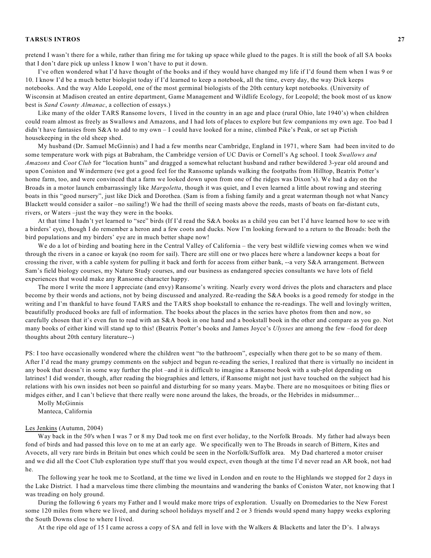pretend I wasn't there for a while, rather than firing me for taking up space while glued to the pages. It is still the book of all SA books that I don't dare pick up unless I know I won't have to put it down.

I've often wondered what I'd have thought of the books and if they would have changed my life if I'd found them when I was 9 or 10. I know I'd be a much better biologist today if I'd learned to keep a notebook, all the time, every day, the way Dick keeps notebooks. And the way Aldo Leopold, one of the most germinal biologists of the 20th century kept notebooks. (University of Wisconsin at Madison created an entire department, Game Management and Wildlife Ecology, for Leopold; the book most of us know best is *Sand County Almanac*, a collection of essays.)

Like many of the older TARS Ransome lovers, I lived in the country in an age and place (rural Ohio, late 1940's) when children could roam almost as freely as Swallows and Amazons, and I had lots of places to explore but few companions my own age. Too bad I didn't have fantasies from  $S&A$  to add to my own – I could have looked for a mine, climbed Pike's Peak, or set up Pictish housekeeping in the old sheep shed.

My husband (Dr. Samuel McGinnis) and I had a few months near Cambridge, England in 1971, where Sam had been invited to do some temperature work with pigs at Babraham, the Cambridge version of UC Davis or Cornell's Ag school. I took *Swallows and Amazons* and *Coot Club* for "location hunts" and dragged a somewhat reluctant husband and rather bewildered 3-year old around and upon Coniston and Windermere (we got a good feel for the Ransome uplands walking the footpaths from Hilltop, Beatrix Potter's home farm, too, and were convinced that a farm we looked down upon from one of the ridges was Dixon's). We had a day on the Broads in a motor launch embarrassingly like *Margoletta*, though it was quiet, and I even learned a little about rowing and steering boats in this "good nursery", just like Dick and Dorothea. (Sam is from a fishing family and a great waterman though not what Nancy Blackett would consider a sailor –no sailing!) We had the thrill of seeing masts above the reeds, masts of boats on far-distant cuts, rivers, or Waters –just the way they were in the books.

At that time I hadn't yet learned to "see" birds (If I'd read the S&A books as a child you can bet I'd have learned how to see with a birders' eye), though I do remember a heron and a few coots and ducks. Now I'm looking forward to a return to the Broads: both the bird populations and my birders' eye are in much better shape now!

We do a lot of birding and boating here in the Central Valley of California – the very best wildlife viewing comes when we wind through the rivers in a canoe or kayak (no room for sail). There are still one or two places here where a landowner keeps a boat for crossing the river, with a cable system for pulling it back and forth for access from either bank, --a very S&A arrangement. Between Sam's field biology courses, my Nature Study courses, and our business as endangered species consultants we have lots of field experiences that would make any Ransome character happy.

The more I write the more I appreciate (and envy) Ransome's writing. Nearly every word drives the plots and characters and place become by their words and actions, not by being discussed and analyzed. Re-reading the S&A books is a good remedy for stodge in the writing and I'm thankful to have found TARS and the TARS shop bookstall to enhance the re-readings. The well and lovingly written, beautifully produced books are full of information. The books about the places in the series have photos from then and now, so carefully chosen that it's even fun to read with an S&A book in one hand and a bookstall book in the other and compare as you go. Not many books of either kind will stand up to this! (Beatrix Potter's books and James Joyce's *Ulysses* are among the few –food for deep thoughts about 20th century literature--)

PS: I too have occasionally wondered where the children went "to the bathroom", especially when there got to be so many of them. After I'd read the many grumpy comments on the subject and begun re-reading the series, I realized that there is virtually no incident in any book that doesn't in some way further the plot –and it is difficult to imagine a Ransome book with a sub-plot depending on latrines! I did wonder, though, after reading the biographies and letters, if Ransome might not just have touched on the subject had his relations with his own insides not been so painful and disturbing for so many years. Maybe. There are no mosquitoes or biting flies or midges either, and I can't believe that there really were none around the lakes, the broads, or the Hebrides in midsummer...

Molly McGinnis Manteca, California

#### Les Jenkins (Autumn, 2004)

Way back in the 50's when I was 7 or 8 my Dad took me on first ever holiday, to the Norfolk Broads. My father had always been fond of birds and had passed this love on to me at an early age. We specifically wen to The Broads in search of Bittern, Kites and Avocets, all very rare birds in Britain but ones which could be seen in the Norfolk/Suffolk area. My Dad chartered a motor cruiser and we did all the Coot Club exploration type stuff that you would expect, even though at the time I'd never read an AR book, not had he.

The following year he took me to Scotland, at the time we lived in London and en route to the Highlands we stopped for 2 days in the Lake District. I had a marvelous time there climbing the mountains and wandering the banks of Coniston Water, not knowing that I was treading on holy ground.

During the following 6 years my Father and I would make more trips of exploration. Usually on Dromedaries to the New Forest some 120 miles from where we lived, and during school holidays myself and 2 or 3 friends would spend many happy weeks exploring the South Downs close to where I lived.

At the ripe old age of 15 I came across a copy of SA and fell in love with the Walkers & Blacketts and later the D's. I always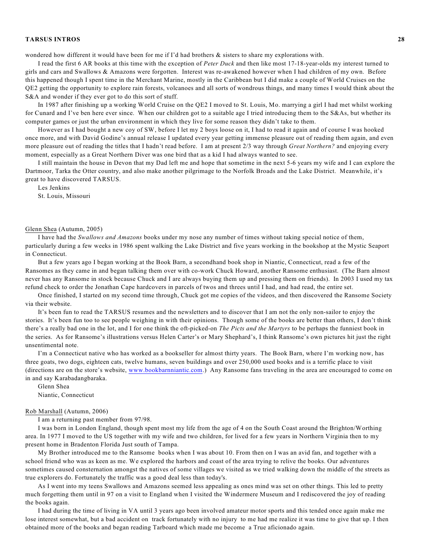wondered how different it would have been for me if I'd had brothers & sisters to share my explorations with.

I read the first 6 AR books at this time with the exception of *Peter Duck* and then like most 17-18-year-olds my interest turned to girls and cars and Swallows & Amazons were forgotten. Interest was re-awakened however when I had children of my own. Before this happened though I spent time in the Merchant Marine, mostly in the Caribbean but I did make a couple of World Cruises on the QE2 getting the opportunity to explore rain forests, volcanoes and all sorts of wondrous things, and many times I would think about the S&A and wonder if they ever got to do this sort of stuff.

In 1987 after finishing up a working World Cruise on the QE2 I moved to St. Louis, Mo. marrying a girl I had met whilst working for Cunard and I've ben here ever since. When our children got to a suitable age I tried introducing them to the S&As, but whether its computer games or just the urban environment in which they live for some reason they didn't take to them.

However as I had bought a new coy of SW, before I let my 2 boys loose on it, I had to read it again and of course I was hooked once more, and with David Godine's annual release I updated every year getting immense pleasure out of reading them again, and even more pleasure out of reading the titles that I hadn't read before. I am at present 2/3 way through *Great Northern?* and enjoying every moment, especially as a Great Northern Diver was one bird that as a kid I had always wanted to see.

I still maintain the house in Devon that my Dad left me and hope that sometime in the next 5-6 years my wife and I can explore the Dartmoor, Tarka the Otter country, and also make another pilgrimage to the Norfolk Broads and the Lake District. Meanwhile, it's great to have discovered TARSUS.

Les Jenkins

St. Louis, Missouri

### Glenn Shea (Autumn, 2005)

I have had the *Swallows and Amazons* books under my nose any number of times without taking special notice of them, particularly during a few weeks in 1986 spent walking the Lake District and five years working in the bookshop at the Mystic Seaport in Connecticut.

But a few years ago I began working at the Book Barn, a secondhand book shop in Niantic, Connecticut, read a few of the Ransomes as they came in and began talking them over with co-work Chuck Howard, another Ransome enthusiast. (The Barn almost never has any Ransome in stock because Chuck and I are always buying them up and pressing them on friends). In 2003 I used my tax refund check to order the Jonathan Cape hardcovers in parcels of twos and threes until I had, and had read, the entire set.

Once finished, I started on my second time through, Chuck got me copies of the videos, and then discovered the Ransome Society via their website.

It's been fun to read the TARSUS resumes and the newsletters and to discover that I am not the only non-sailor to enjoy the stories. It's been fun too to see people weighing in with their opinions. Though some of the books are better than others, I don't think there's a really bad one in the lot, and I for one think the oft-picked-on *The Picts and the Martyrs* to be perhaps the funniest book in the series. As for Ransome's illustrations versus Helen Carter's or Mary Shephard's, I think Ransome's own pictures hit just the right unsentimental note.

I'm a Connecticut native who has worked as a bookseller for almost thirty years. The Book Barn, where I'm working now, has three goats, two dogs, eighteen cats, twelve humans, seven buildings and over 250,000 used books and is a terrific place to visit (directions are on the store's website, [www.bookbarnniantic.com](http://www.bookbarnniantic.com).) Any Ransome fans traveling in the area are encouraged to come on in and say Karabadangbaraka.

Glenn Shea Niantic, Connecticut

# Rob Marshall (Autumn, 2006)

I am a returning past member from 97/98.

I was born in London England, though spent most my life from the age of 4 on the South Coast around the Brighton/Worthing area. In 1977 I moved to the US together with my wife and two children, for lived for a few years in Northern Virginia then to my present home in Bradenton Florida Just south of Tampa.

My Brother introduced me to the Ransome books when I was about 10. From then on I was an avid fan, and together with a school friend who was as keen as me. We explored the harbors and coast of the area trying to relive the books. Our adventures sometimes caused consternation amongst the natives of some villages we visited as we tried walking down the middle of the streets as true explorers do. Fortunately the traffic was a good deal less than today's.

As I went into my teens Swallows and Amazons seemed less appealing as ones mind was set on other things. This led to pretty much forgetting them until in 97 on a visit to England when I visited the Windermere Museum and I rediscovered the joy of reading the books again.

I had during the time of living in VA until 3 years ago been involved amateur motor sports and this tended once again make me lose interest somewhat, but a bad accident on track fortunately with no injury to me had me realize it was time to give that up. I then obtained more of the books and began reading Tarboard which made me become a True aficionado again.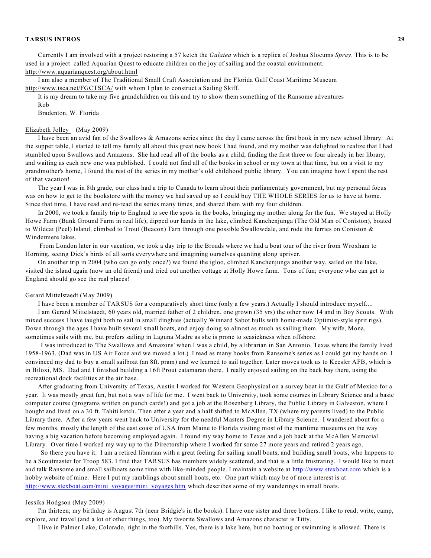Currently I am involved with a project restoring a 57 ketch the *Galatea* which is a replica of Joshua Slocums *Spray*. This is to be used in a project called Aquarian Quest to educate children on the joy of sailing and the coastal environment. http://www.aquarianquest.org/about.html

I am also a member of The Traditional Small Craft Association and the Florida Gulf Coast Maritime Museum http://www.tsca.net/FGCTSCA/ with whom I plan to construct a Sailing Skiff.

It is my dream to take my five grandchildren on this and try to show them something of the Ransome adventures

Rob

Bradenton, W. Florida

#### Elizabeth Jolley (May 2009)

I have been an avid fan of the Swallows & Amazons series since the day I came across the first book in my new school library. At the supper table, I started to tell my family all about this great new book I had found, and my mother was delighted to realize that I had stumbled upon Swallows and Amazons. She had read all of the books as a child, finding the first three or four already in her library, and waiting as each new one was published. I could not find all of the books in school or my town at that time, but on a visit to my grandmother's home, I found the rest of the series in my mother's old childhood public library. You can imagine how I spent the rest of that vacation!

The year I was in 8th grade, our class had a trip to Canada to learn about their parliamentary government, but my personal focus was on how to get to the bookstore with the money we had saved up so I could buy THE WHOLE SERIES for us to have at home. Since that time, I have read and re-read the series many times, and shared them with my four children.

In 2000, we took a family trip to England to see the spots in the books, bringing my mother along for the fun. We stayed at Holly Howe Farm (Bank Ground Farm in real life), dipped our hands in the lake, climbed Kanchenjunga (The Old Man of Coniston), boated to Wildcat (Peel) Island, climbed to Trout (Beacon) Tarn through one possible Swallowdale, and rode the ferries on Coniston & Windermere lakes.

From London later in our vacation, we took a day trip to the Broads where we had a boat tour of the river from Wroxham to Horning, seeing Dick's birds of all sorts everywhere and imagining ourselves quanting along upriver.

On another trip in 2004 (who can go only once?) we found the igloo, climbed Kanchenjunga another way, sailed on the lake, visited the island again (now an old friend) and tried out another cottage at Holly Howe farm. Tons of fun; everyone who can get to England should go see the real places!

#### Gerard Mittelstaedt (May 2009)

I have been a member of TARSUS for a comparatively short time (only a few years.) Actually I should introduce myself.... I am Gerard Mittelstaedt, 60 years old, married father of 2 children, one grown (35 yrs) the other now 14 and in Boy Scouts. With mixed success I have taught both to sail in small dinghies (actually Winnard Sabot hulls with home-made Optimist-style sprit rigs). Down through the ages I have built several small boats, and enjoy doing so almost as much as sailing them. My wife, Mona, sometimes sails with me, but prefers sailing in Laguna Madre as she is prone to seasickness when offshore.

I was introduced to 'The Swallows and Amazons' when I was a child, by a librarian in San Antonio, Texas where the family lived 1958-1963. (Dad was in US Air Force and we moved a lot.) I read as many books from Ransome's series as I could get my hands on. I convinced my dad to buy a small sailboat (an 8ft. pram) and we learned to sail together. Later moves took us to Keesler AFB, which is in Biloxi, MS. Dad and I finished building a 16ft Prout catamaran there. I really enjoyed sailing on the back bay there, using the recreational dock facilities at the air base.

After graduating from University of Texas, Austin I worked for Western Geophysical on a survey boat in the Gulf of Mexico for a year. It was mostly great fun, but not a way of life for me. I went back to University, took some courses in Library Science and a basic computer course (programs written on punch cards!) and got a job at the Rosenberg Library, the Public Library in Galveston, where I bought and lived on a 30 ft. Tahiti ketch. Then after a year and a half shifted to McAllen, TX (where my parents lived) to the Public Library there. After a few years went back to University for the needful Masters Degree in Library Science. I wandered about for a few months, mostly the length of the east coast of USA from Maine to Florida visiting most of the maritime museums on the way having a big vacation before becoming employed again. I found my way home to Texas and a job back at the McAllen Memorial Library. Over time I worked my way up to the Directorship where I worked for some 27 more years and retired 2 years ago.

So there you have it. I am a retired librarian with a great feeling for sailing small boats, and building small boats, who happens to be a Scoutmaster for Troop 583. I find that TARSUS has members widely scattered, and that is a little frustrating. I would like to meet and talk Ransome and small sailboats some time with like-minded people. I maintain a website at <http://www.stexboat.com> which is a hobby website of mine. Here I put my ramblings about small boats, etc. One part which may be of more interest is at [http://www.stexboat.com/mini\\_voyages/mini\\_voyages.htm](http://www.stexboat.com/mini_voyages/mini_voyages.htm) which describes some of my wanderings in small boats.

### Jessika Hodgson (May 2009)

I'm thirteen; my birthday is August 7th (near Bridgie's in the books). I have one sister and three bothers. I like to read, write, camp, explore, and travel (and a lot of other things, too). My favorite Swallows and Amazons character is Titty.

I live in Palmer Lake, Colorado, right in the foothills. Yes, there is a lake here, but no boating or swimming is allowed. There is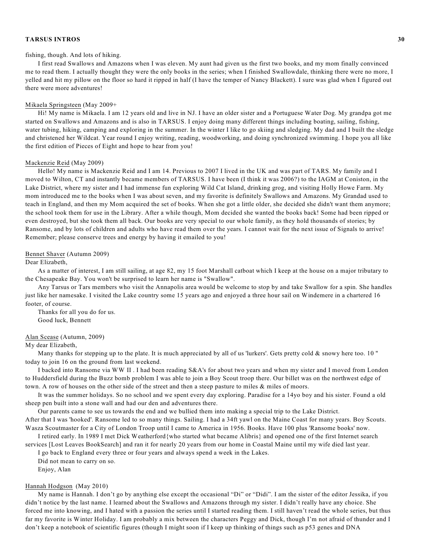### fishing, though. And lots of hiking.

I first read Swallows and Amazons when I was eleven. My aunt had given us the first two books, and my mom finally convinced me to read them. I actually thought they were the only books in the series; when I finished Swallowdale, thinking there were no more, I yelled and hit my pillow on the floor so hard it ripped in half (I have the temper of Nancy Blackett). I sure was glad when I figured out there were more adventures!

### Mikaela Springsteen (May 2009+

Hi! My name is Mikaela. I am 12 years old and live in NJ. I have an older sister and a Portuguese Water Dog. My grandpa got me started on Swallows and Amazons and is also in TARSUS. I enjoy doing many different things including boating, sailing, fishing, water tubing, hiking, camping and exploring in the summer. In the winter I like to go skiing and sledging. My dad and I built the sledge and christened her Wildcat. Year round I enjoy writing, reading, woodworking, and doing synchronized swimming. I hope you all like the first edition of Pieces of Eight and hope to hear from you!

#### Mackenzie Reid (May 2009)

Hello! My name is Mackenzie Reid and I am 14. Previous to 2007 I lived in the UK and was part of TARS. My family and I moved to Wilton, CT and instantly became members of TARSUS. I have been (I think it was 2006?) to the IAGM at Coniston, in the Lake District, where my sister and I had immense fun exploring Wild Cat Island, drinking grog, and visiting Holly Howe Farm. My mom introduced me to the books when I was about seven, and my favorite is definitely Swallows and Amazons. My Grandad used to teach in England, and then my Mom acquired the set of books. When she got a little older, she decided she didn't want them anymore; the school took them for use in the Library. After a while though, Mom decided she wanted the books back! Some had been ripped or even destroyed, but she took them all back. Our books are very special to our whole family, as they hold thousands of stories; by Ransome, and by lots of children and adults who have read them over the years. I cannot wait for the next issue of Signals to arrive! Remember; please conserve trees and energy by having it emailed to you!

#### Bennet Shaver (Autumn 2009)

#### Dear Elizabeth,

As a matter of interest, I am still sailing, at age 82, my 15 foot Marshall catboat which I keep at the house on a major tributary to the Chesapeake Bay. You won't be surprised to learn her name is "Swallow".

Any Tarsus or Tars members who visit the Annapolis area would be welcome to stop by and take Swallow for a spin. She handles just like her namesake. I visited the Lake country some 15 years ago and enjoyed a three hour sail on Windemere in a chartered 16 footer, of course.

Thanks for all you do for us. Good luck, Bennett

### Alan Scease (Autumn, 2009)

### My dear Elizabeth,

Many thanks for stepping up to the plate. It is much appreciated by all of us 'lurkers'. Gets pretty cold  $\&$  snowy here too. 10" today to join 16 on the ground from last weekend.

I backed into Ransome via WW II . I had been reading S&A's for about two years and when my sister and I moved from London to Huddersfield during the Buzz bomb problem I was able to join a Boy Scout troop there. Our billet was on the northwest edge of town. A row of houses on the other side of the street and then a steep pasture to miles & miles of moors.

It was the summer holidays. So no school and we spent every day exploring. Paradise for a 14yo boy and his sister. Found a old sheep pen built into a stone wall and had our den and adventures there.

Our parents came to see us towards the end and we bullied them into making a special trip to the Lake District.

After that I was 'hooked'. Ransome led to so many things. Sailing. I had a 34ft yawl on the Maine Coast for many years. Boy Scouts. Wasza Scoutmaster for a City of London Troop until I came to America in 1956. Books. Have 100 plus 'Ransome books' now.

I retired early. In 1989 I met Dick Weatherford{who started what became Alibris} and opened one of the first Internet search services [Lost Leaves BookSearch] and ran it for nearly 20 years from our home in Coastal Maine until my wife died last year.

I go back to England every three or four years and always spend a week in the Lakes.

Did not mean to carry on so.

Enjoy, Alan

### Hannah Hodgson (May 2010)

My name is Hannah. I don't go by anything else except the occasional "Di" or "Didi". I am the sister of the editor Jessika, if you didn't notice by the last name. I learned about the Swallows and Amazons through my sister. I didn't really have any choice. She forced me into knowing, and I hated with a passion the series until I started reading them. I still haven't read the whole series, but thus far my favorite is Winter Holiday. I am probably a mix between the characters Peggy and Dick, though I'm not afraid of thunder and I don't keep a notebook of scientific figures (though I might soon if I keep up thinking of things such as p53 genes and DNA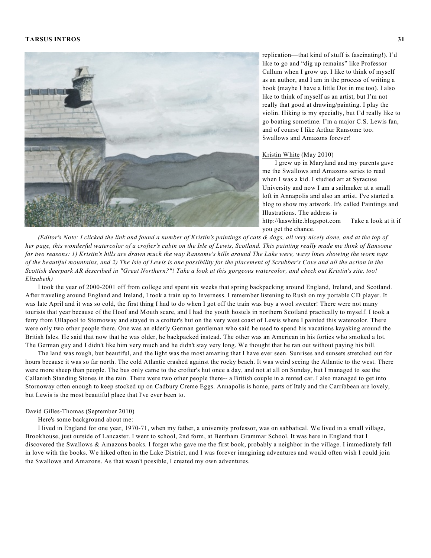

replication—that kind of stuff is fascinating!). I'd like to go and "dig up remains" like Professor Callum when I grow up. I like to think of myself as an author, and I am in the process of writing a book (maybe I have a little Dot in me too). I also like to think of myself as an artist, but I'm not really that good at drawing/painting. I play the violin. Hiking is my specialty, but I'd really like to go boating sometime. I'm a major C.S. Lewis fan, and of course I like Arthur Ransome too. Swallows and Amazons forever!

# Kristin White (May 2010)

I grew up in Maryland and my parents gave me the Swallows and Amazons series to read when I was a kid. I studied art at Syracuse University and now I am a sailmaker at a small loft in Annapolis and also an artist. I've started a blog to show my artwork. It's called Paintings and Illustrations. The address is http://kaswhite.blogspot.com Take a look at it if you get the chance.

(Editor's Note: I clicked the link and found a number of Kristin's paintings of cats & dogs, all very nicely done, and at the top of her page, this wonderful watercolor of a crofter's cabin on the Isle of Lewis, Scotland. This painting really made me think of Ransome for two reasons: 1) Kristin's hills are drawn much the way Ransome's hills around The Lake were, wavy lines showing the worn tops of the beautiful mountains, and 2) The Isle of Lewis is one possibility for the placement of Scrubber's Cove and all the action in the Scottish deerpark AR described in "Great Northern?"! Take a look at this gorgeous watercolor, and check out Kristin's site, too! *Elizabeth)*

I took the year of 2000-2001 off from college and spent six weeks that spring backpacking around England, Ireland, and Scotland. After traveling around England and Ireland, I took a train up to Inverness. I remember listening to Rush on my portable CD player. It was late April and it was so cold, the first thing I had to do when I got off the train was buy a wool sweater! There were not many tourists that year because of the Hoof and Mouth scare, and I had the youth hostels in northern Scotland practically to myself. I took a ferry from Ullapool to Stornoway and stayed in a crofter's hut on the very west coast of Lewis where I painted this watercolor. There were only two other people there. One was an elderly German gentleman who said he used to spend his vacations kayaking around the British Isles. He said that now that he was older, he backpacked instead. The other was an American in his forties who smoked a lot. The German guy and I didn't like him very much and he didn't stay very long. We thought that he ran out without paying his bill.

The land was rough, but beautiful, and the light was the most amazing that I have ever seen. Sunrises and sunsets stretched out for hours because it was so far north. The cold Atlantic crashed against the rocky beach. It was weird seeing the Atlantic to the west. There were more sheep than people. The bus only came to the crofter's hut once a day, and not at all on Sunday, but I managed to see the Callanish Standing Stones in the rain. There were two other people there-- a British couple in a rented car. I also managed to get into Stornoway often enough to keep stocked up on Cadbury Creme Eggs. Annapolis is home, parts of Italy and the Carribbean are lovely, but Lewis is the most beautiful place that I've ever been to.

# David Gilles-Thomas (September 2010)

Here's some background about me:

I lived in England for one year, 1970-71, when my father, a university professor, was on sabbatical. We lived in a small village, Brookhouse, just outside of Lancaster. I went to school, 2nd form, at Bentham Grammar School. It was here in England that I discovered the Swallows & Amazons books. I forget who gave me the first book, probably a neighbor in the village. I immediately fell in love with the books. We hiked often in the Lake District, and I was forever imagining adventures and would often wish I could join the Swallows and Amazons. As that wasn't possible, I created my own adventures.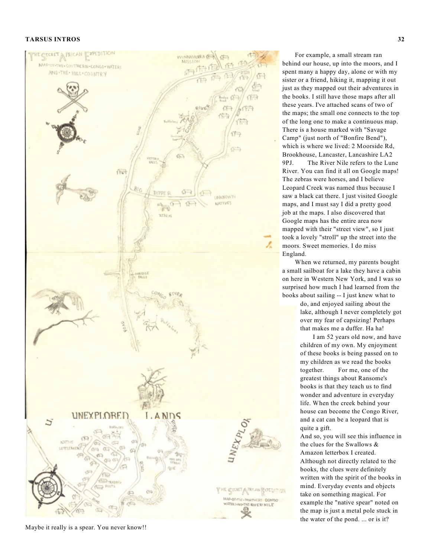

Maybe it really is a spear. You never know!!

For example, a small stream ran behind our house, up into the moors, and I spent many a happy day, alone or with my sister or a friend, hiking it, mapping it out just as they mapped out their adventures in the books. I still have those maps after all these years. I've attached scans of two of the maps; the small one connects to the top of the long one to make a continuous map. There is a house marked with "Savage Camp" (just north of "Bonfire Bend"), which is where we lived: 2 Moorside Rd, Brookhouse, Lancaster, Lancashire LA2 9 P J . The River Nile refers to the Lune River. You can find it all on Google maps! The zebras were horses, and I believe Leopard Creek was named thus because I saw a black cat there. I just visited Google maps, and I must say I did a pretty good job at the maps. I also discovered that Google maps has the entire area now mapped with their "street view", so I just took a lovely "stroll" up the street into the moors. Sweet memories. I do miss England.

When we returned, my parents bought a small sailboat for a lake they have a cabin on here in Western New York, and I was so surprised how much I had learned from the books about sailing -- I just knew what to

> do, and enjoyed sailing about the lake, although I never completely got over my fear of capsizing! Perhaps that makes me a duffer. Ha ha!

> I am 52 years old now, and have children of my own. My enjoyment of these books is being passed on to my children as we read the books together. For me, one of the greatest things about Ransome's books is that they teach us to find wonder and adventure in everyday life. When the creek behind your house can become the Congo River, and a cat can be a leopard that is quite a gift.

And so, you will see this influence in the clues for the Swallows & Amazon letterbox I created. Although not directly related to the books, the clues were definitely written with the spirit of the books in mind. Everyday events and objects take on something magical. For example the "native spear" noted on the map is just a metal pole stuck in the water of the pond. ... or is it?